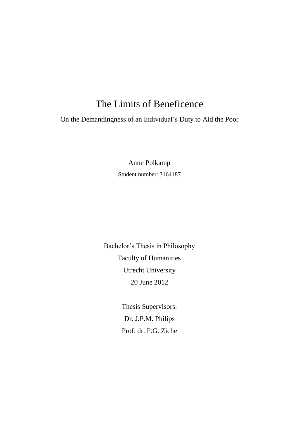# The Limits of Beneficence

On the Demandingness of an Individual's Duty to Aid the Poor

Anne Polkamp Student number: 3164187

Bachelor's Thesis in Philosophy Faculty of Humanities Utrecht University 20 June 2012

> Thesis Supervisors: Dr. J.P.M. Philips Prof. dr. P.G. Ziche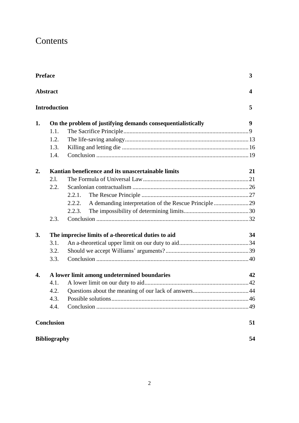# Contents

|                                        | <b>Preface</b>                                            |                                                                 |    |    |
|----------------------------------------|-----------------------------------------------------------|-----------------------------------------------------------------|----|----|
| <b>Abstract</b><br><b>Introduction</b> |                                                           |                                                                 |    |    |
|                                        |                                                           |                                                                 |    | 1. |
|                                        | 1.1.                                                      |                                                                 |    |    |
|                                        | 1.2.                                                      |                                                                 |    |    |
|                                        | 1.3.                                                      |                                                                 |    |    |
|                                        | 1.4.                                                      |                                                                 |    |    |
| 2.                                     |                                                           | Kantian beneficence and its unascertainable limits              | 21 |    |
|                                        | 2.1.                                                      |                                                                 |    |    |
|                                        | 2.2.                                                      |                                                                 |    |    |
|                                        |                                                           | 2.2.1.                                                          |    |    |
|                                        |                                                           | A demanding interpretation of the Rescue Principle 29<br>2.2.2. |    |    |
|                                        |                                                           | 2.2.3.                                                          |    |    |
|                                        | 2.3.                                                      |                                                                 |    |    |
| 3.                                     | The imprecise limits of a-theoretical duties to aid<br>34 |                                                                 |    |    |
|                                        | 3.1.                                                      |                                                                 |    |    |
|                                        | 3.2.                                                      |                                                                 |    |    |
|                                        | 3.3.                                                      |                                                                 |    |    |
| 4.                                     | A lower limit among undetermined boundaries               |                                                                 |    |    |
|                                        | 4.1.                                                      |                                                                 |    |    |
|                                        | 4.2.                                                      |                                                                 |    |    |
|                                        | 4.3.                                                      |                                                                 |    |    |
|                                        | 4.4.                                                      |                                                                 |    |    |
|                                        | <b>Conclusion</b>                                         |                                                                 | 51 |    |
|                                        | <b>Bibliography</b>                                       |                                                                 | 54 |    |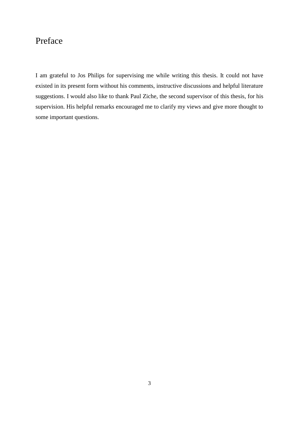## Preface

I am grateful to Jos Philips for supervising me while writing this thesis. It could not have existed in its present form without his comments, instructive discussions and helpful literature suggestions. I would also like to thank Paul Ziche, the second supervisor of this thesis, for his supervision. His helpful remarks encouraged me to clarify my views and give more thought to some important questions.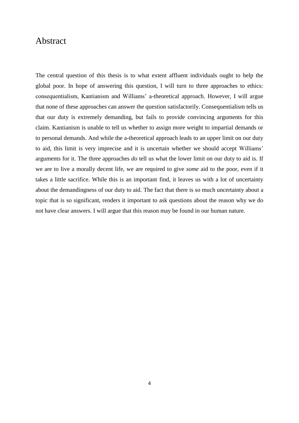## Abstract

The central question of this thesis is to what extent affluent individuals ought to help the global poor. In hope of answering this question, I will turn to three approaches to ethics: consequentialism, Kantianism and Williams' a-theoretical approach. However, I will argue that none of these approaches can answer the question satisfactorily. Consequentialism tells us that our duty is extremely demanding, but fails to provide convincing arguments for this claim. Kantianism is unable to tell us whether to assign more weight to impartial demands or to personal demands. And while the a-theoretical approach leads to an upper limit on our duty to aid, this limit is very imprecise and it is uncertain whether we should accept Williams' arguments for it. The three approaches *do* tell us what the lower limit on our duty to aid is. If we are to live a morally decent life, we are required to give *some* aid to the poor, even if it takes a little sacrifice. While this is an important find, it leaves us with a lot of uncertainty about the demandingness of our duty to aid. The fact that there is so much uncertainty about a topic that is so significant, renders it important to ask questions about the reason why we do not have clear answers. I will argue that this reason may be found in our human nature.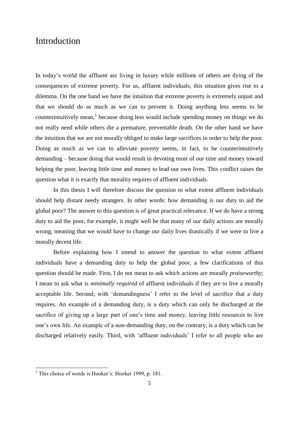## Introduction

In today's world the affluent are living in luxury while millions of others are dying of the consequences of extreme poverty. For us, affluent individuals, this situation gives rise to a dilemma. On the one hand we have the intuition that extreme poverty is extremely unjust and that we should do as much as we can to prevent it. Doing anything less seems to be counterintuitively mean,<sup>1</sup> because doing less would include spending money on things we do not really need while others die a premature, preventable death. On the other hand we have the intuition that we are not morally obliged to make large sacrifices in order to help the poor. Doing as much as we can to alleviate poverty seems, in fact, to be counterintuitively demanding – because doing that would result in devoting most of our time and money toward helping the poor, leaving little time and money to lead our own lives. This conflict raises the question what it is exactly that morality requires of affluent individuals.

In this thesis I will therefore discuss the question to what extent affluent individuals should help distant needy strangers. In other words: how demanding is our duty to aid the global poor? The answer to this question is of great practical relevance. If we do have a strong duty to aid the poor, for example, it might well be that many of our daily actions are morally wrong, meaning that we would have to change our daily lives drastically if we were to live a morally decent life.

Before explaining how I intend to answer the question to what extent affluent individuals have a demanding duty to help the global poor, a few clarifications of this question should be made. First, I do not mean to ask which actions are morally *praiseworthy*; I mean to ask what is *minimally required* of affluent individuals if they are to live a morally acceptable life. Second, with 'demandingness' I refer to the level of sacrifice that a duty requires. An example of a demanding duty, is a duty which can only be discharged at the sacrifice of giving up a large part of one's time and money, leaving little resources to live one's own life. An example of a non-demanding duty, on the contrary, is a duty which can be discharged relatively easily. Third, with 'affluent individuals' I refer to all people who are

<sup>&</sup>lt;sup>1</sup> This choice of words is Hooker's: Hooker 1999, p. 181.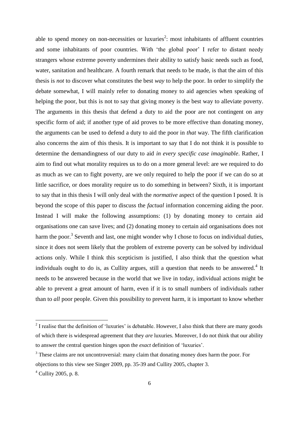able to spend money on non-necessities or luxuries<sup>2</sup>: most inhabitants of affluent countries and some inhabitants of poor countries. With 'the global poor' I refer to distant needy strangers whose extreme poverty undermines their ability to satisfy basic needs such as food, water, sanitation and healthcare. A fourth remark that needs to be made, is that the aim of this thesis is *not* to discover what constitutes the best *way* to help the poor. In order to simplify the debate somewhat, I will mainly refer to donating money to aid agencies when speaking of helping the poor, but this is not to say that giving money is the best way to alleviate poverty. The arguments in this thesis that defend a duty to aid the poor are not contingent on any specific form of aid; if another type of aid proves to be more effective than donating money, the arguments can be used to defend a duty to aid the poor in *that* way. The fifth clarification also concerns the aim of this thesis. It is important to say that I do not think it is possible to determine the demandingness of our duty to aid *in every specific case imaginable*. Rather, I aim to find out what morality requires us to do on a more general level: are we required to do as much as we can to fight poverty, are we only required to help the poor if we can do so at little sacrifice, or does morality require us to do something in between? Sixth, it is important to say that in this thesis I will only deal with the *normative* aspect of the question I posed. It is beyond the scope of this paper to discuss the *factual* information concerning aiding the poor. Instead I will make the following assumptions: (1) by donating money to certain aid organisations one can save lives; and (2) donating money to certain aid organisations does not harm the poor.<sup>3</sup> Seventh and last, one might wonder why I chose to focus on individual duties, since it does not seem likely that the problem of extreme poverty can be solved by individual actions only. While I think this scepticism is justified, I also think that the question what individuals ought to do is, as Cullity argues, still a question that needs to be answered.<sup>4</sup> It needs to be answered because in the world that we live in today, individual actions might be able to prevent a great amount of harm, even if it is to small numbers of individuals rather than to *all* poor people. Given this possibility to prevent harm, it is important to know whether

 $2<sup>2</sup>$  I realise that the definition of 'luxuries' is debatable. However, I also think that there are many goods of which there is widespread agreement that they *are* luxuries. Moreover, I do not think that our ability to answer the central question hinges upon the *exact* definition of 'luxuries'.

<sup>&</sup>lt;sup>3</sup> These claims are not uncontroversial: many claim that donating money does harm the poor. For objections to this view see Singer 2009, pp. 35-39 and Cullity 2005, chapter 3.

 $4$  Cullity 2005, p. 8.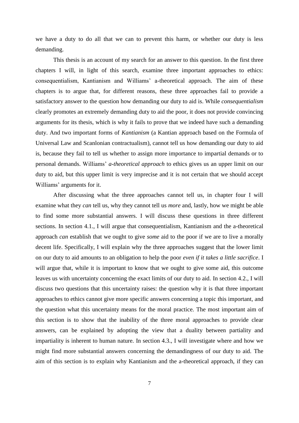we have a duty to do all that we can to prevent this harm, or whether our duty is less demanding.

This thesis is an account of my search for an answer to this question. In the first three chapters I will, in light of this search, examine three important approaches to ethics: consequentialism, Kantianism and Williams' a-theoretical approach. The aim of these chapters is to argue that, for different reasons, these three approaches fail to provide a satisfactory answer to the question how demanding our duty to aid is. While *consequentialism* clearly promotes an extremely demanding duty to aid the poor, it does not provide convincing arguments for its thesis, which is why it fails to prove that we indeed have such a demanding duty. And two important forms of *Kantianism* (a Kantian approach based on the Formula of Universal Law and Scanlonian contractualism), cannot tell us how demanding our duty to aid is, because they fail to tell us whether to assign more importance to impartial demands or to personal demands. Williams' *a-theoretical approach* to ethics gives us an upper limit on our duty to aid, but this upper limit is very imprecise and it is not certain that we should accept Williams' arguments for it.

After discussing what the three approaches cannot tell us, in chapter four I will examine what they *can* tell us, why they cannot tell us *more* and, lastly, how we might be able to find some more substantial answers. I will discuss these questions in three different sections. In section 4.1., I will argue that consequentialism, Kantianism and the a-theoretical approach *can* establish that we ought to give *some* aid to the poor if we are to live a morally decent life. Specifically, I will explain why the three approaches suggest that the lower limit on our duty to aid amounts to an obligation to help the poor *even if it takes a little sacrifice*. I will argue that, while it is important to know that we ought to give some aid, this outcome leaves us with uncertainty concerning the exact limits of our duty to aid. In section 4.2., I will discuss two questions that this uncertainty raises: the question why it is that three important approaches to ethics cannot give more specific answers concerning a topic this important, and the question what this uncertainty means for the moral practice. The most important aim of this section is to show that the inability of the three moral approaches to provide clear answers, can be explained by adopting the view that a duality between partiality and impartiality is inherent to human nature. In section 4.3., I will investigate where and how we might find more substantial answers concerning the demandingness of our duty to aid. The aim of this section is to explain why Kantianism and the a-theoretical approach, if they can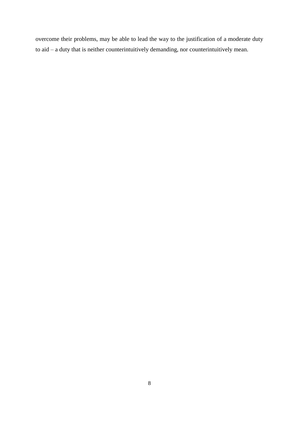overcome their problems, may be able to lead the way to the justification of a moderate duty to aid – a duty that is neither counterintuitively demanding, nor counterintuitively mean.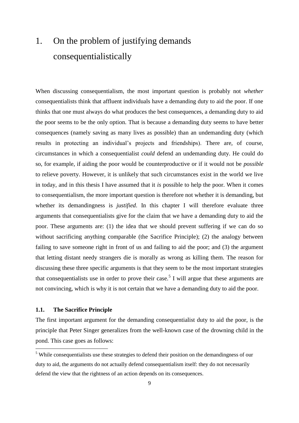# 1. On the problem of justifying demands consequentialistically

When discussing consequentialism, the most important question is probably not *whether* consequentialists think that affluent individuals have a demanding duty to aid the poor. If one thinks that one must always do what produces the best consequences, a demanding duty to aid the poor seems to be the only option. That is because a demanding duty seems to have better consequences (namely saving as many lives as possible) than an undemanding duty (which results in protecting an individual's projects and friendships). There are, of course, circumstances in which a consequentialist *could* defend an undemanding duty. He could do so, for example, if aiding the poor would be counterproductive or if it would not be *possible* to relieve poverty. However, it is unlikely that such circumstances exist in the world we live in today, and in this thesis I have assumed that it *is* possible to help the poor. When it comes to consequentialism, the more important question is therefore not whether it is demanding, but whether its demandingness is *justified*. In this chapter I will therefore evaluate three arguments that consequentialists give for the claim that we have a demanding duty to aid the poor. These arguments are: (1) the idea that we should prevent suffering if we can do so without sacrificing anything comparable (the Sacrifice Principle); (2) the analogy between failing to save someone right in front of us and failing to aid the poor; and (3) the argument that letting distant needy strangers die is morally as wrong as killing them. The reason for discussing these three specific arguments is that they seem to be the most important strategies that consequentialists use in order to prove their case.<sup>5</sup> I will argue that these arguments are not convincing, which is why it is not certain that we have a demanding duty to aid the poor.

#### **1.1. The Sacrifice Principle**

**.** 

The first important argument for the demanding consequentialist duty to aid the poor, is the principle that Peter Singer generalizes from the well-known case of the drowning child in the pond. This case goes as follows:

<sup>&</sup>lt;sup>5</sup> While consequentialists use these strategies to defend their position on the demandingness of our duty to aid, the arguments do not actually defend consequentialism itself: they do not necessarily defend the view that the rightness of an action depends on its consequences.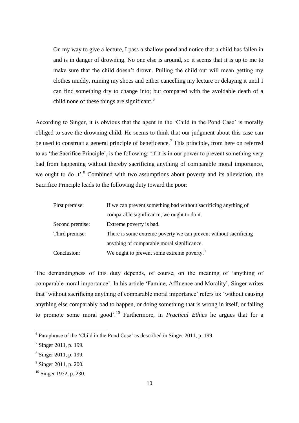On my way to give a lecture, I pass a shallow pond and notice that a child has fallen in and is in danger of drowning. No one else is around, so it seems that it is up to me to make sure that the child doesn't drown. Pulling the child out will mean getting my clothes muddy, ruining my shoes and either cancelling my lecture or delaying it until I can find something dry to change into; but compared with the avoidable death of a child none of these things are significant.<sup>6</sup>

According to Singer, it is obvious that the agent in the 'Child in the Pond Case' is morally obliged to save the drowning child. He seems to think that our judgment about this case can be used to construct a general principle of beneficence.<sup>7</sup> This principle, from here on referred to as 'the Sacrifice Principle', is the following: 'if it is in our power to prevent something very bad from happening without thereby sacrificing anything of comparable moral importance, we ought to do it'.<sup>8</sup> Combined with two assumptions about poverty and its alleviation, the Sacrifice Principle leads to the following duty toward the poor:

| First premise:  | If we can prevent something bad without sacrificing anything of  |  |
|-----------------|------------------------------------------------------------------|--|
|                 | comparable significance, we ought to do it.                      |  |
| Second premise: | Extreme poverty is bad.                                          |  |
| Third premise:  | There is some extreme poverty we can prevent without sacrificing |  |
|                 | anything of comparable moral significance.                       |  |
| Conclusion:     | We ought to prevent some extreme poverty. <sup>9</sup>           |  |

The demandingness of this duty depends, of course, on the meaning of 'anything of comparable moral importance'. In his article 'Famine, Affluence and Morality', Singer writes that 'without sacrificing anything of comparable moral importance' refers to: 'without causing anything else comparably bad to happen, or doing something that is wrong in itself, or failing to promote some moral good'.<sup>10</sup> Furthermore, in *Practical Ethics* he argues that for a

<sup>&</sup>lt;sup>6</sup> Paraphrase of the 'Child in the Pond Case' as described in Singer 2011, p. 199.

 $7$  Singer 2011, p. 199.

<sup>8</sup> Singer 2011, p. 199.

<sup>&</sup>lt;sup>9</sup> Singer 2011, p. 200.

<sup>&</sup>lt;sup>10</sup> Singer 1972, p. 230.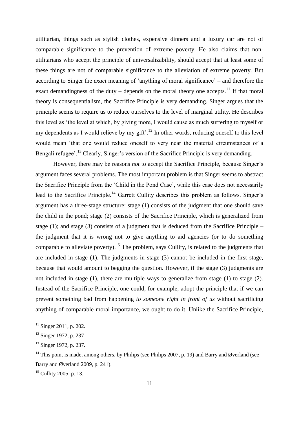utilitarian, things such as stylish clothes, expensive dinners and a luxury car are not of comparable significance to the prevention of extreme poverty. He also claims that nonutilitarians who accept the principle of universalizability, should accept that at least some of these things are not of comparable significance to the alleviation of extreme poverty. But according to Singer the *exact* meaning of 'anything of moral significance' – and therefore the exact demandingness of the duty – depends on the moral theory one accepts.<sup>11</sup> If that moral theory is consequentialism, the Sacrifice Principle is very demanding. Singer argues that the principle seems to require us to reduce ourselves to the level of marginal utility. He describes this level as 'the level at which, by giving more, I would cause as much suffering to myself or my dependents as I would relieve by my gift'.<sup>12</sup> In other words, reducing oneself to this level would mean 'that one would reduce oneself to very near the material circumstances of a Bengali refugee'.<sup>13</sup> Clearly, Singer's version of the Sacrifice Principle is very demanding.

However, there may be reasons *not* to accept the Sacrifice Principle, because Singer's argument faces several problems. The most important problem is that Singer seems to abstract the Sacrifice Principle from the 'Child in the Pond Case', while this case does not necessarily lead to the Sacrifice Principle.<sup>14</sup> Garrett Cullity describes this problem as follows. Singer's argument has a three-stage structure: stage (1) consists of the judgment that one should save the child in the pond; stage (2) consists of the Sacrifice Principle, which is generalized from stage (1); and stage (3) consists of a judgment that is deduced from the Sacrifice Principle – the judgment that it is wrong not to give anything to aid agencies (or to do something comparable to alleviate poverty).<sup>15</sup> The problem, says Cullity, is related to the judgments that are included in stage (1). The judgments in stage (3) cannot be included in the first stage, because that would amount to begging the question. However, if the stage (3) judgments are not included in stage (1), there are multiple ways to generalize from stage (1) to stage (2). Instead of the Sacrifice Principle, one could, for example, adopt the principle that if we can prevent something bad from happening *to someone right in front of us* without sacrificing anything of comparable moral importance, we ought to do it. Unlike the Sacrifice Principle,

 $11$  Singer 2011, p. 202.

 $12$  Singer 1972, p. 237

<sup>&</sup>lt;sup>13</sup> Singer 1972, p. 237.

<sup>&</sup>lt;sup>14</sup> This point is made, among others, by Philips (see Philips 2007, p. 19) and Barry and Øverland (see Barry and Øverland 2009, p. 241).

 $15$  Cullity 2005, p. 13.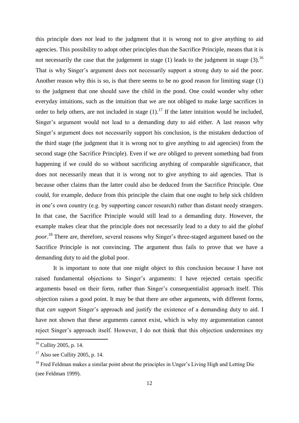this principle does *not* lead to the judgment that it is wrong not to give anything to aid agencies. This possibility to adopt other principles than the Sacrifice Principle, means that it is not necessarily the case that the judgement in stage (1) leads to the judgment in stage (3).<sup>16</sup> That is why Singer's argument does not necessarily support a strong duty to aid the poor. Another reason why this is so, is that there seems to be no good reason for limiting stage (1) to the judgment that one should save the child in the pond. One could wonder why other everyday intuitions, such as the intuition that we are not obliged to make large sacrifices in order to help others, are not included in stage  $(1)$ .<sup>17</sup> If the latter intuition would be included, Singer's argument would not lead to a demanding duty to aid either. A last reason why Singer's argument does not necessarily support his conclusion, is the mistaken deduction of the third stage (the judgment that it is wrong not to give anything to aid agencies) from the second stage (the Sacrifice Principle). Even if we *are* obliged to prevent something bad from happening if we could do so without sacrificing anything of comparable significance, that does not necessarily mean that it is wrong not to give anything to aid agencies. That is because other claims than the latter could also be deduced from the Sacrifice Principle. One could, for example, deduce from this principle the claim that one ought to help sick children in one's own country (e.g. by supporting cancer research) rather than distant needy strangers. In that case, the Sacrifice Principle would still lead to a demanding duty. However, the example makes clear that the principle does not necessarily lead to a duty to aid the *global poor*. <sup>18</sup> There are, therefore, several reasons why Singer's three-staged argument based on the Sacrifice Principle is not convincing. The argument thus fails to prove that we have a demanding duty to aid the global poor.

It is important to note that one might object to this conclusion because I have not raised fundamental objections to Singer's arguments: I have rejected certain specific arguments based on their form, rather than Singer's consequentialist approach itself. This objection raises a good point. It may be that there are other arguments, with different forms, that *can* support Singer's approach and justify the existence of a demanding duty to aid. I have not shown that these arguments cannot exist, which is why my argumentation cannot reject Singer's approach itself. However, I do not think that this objection undermines my

 $16$  Cullity 2005, p. 14.

 $17$  Also see Cullity 2005, p. 14.

<sup>&</sup>lt;sup>18</sup> Fred Feldman makes a similar point about the principles in Unger's Living High and Letting Die (see Feldman 1999).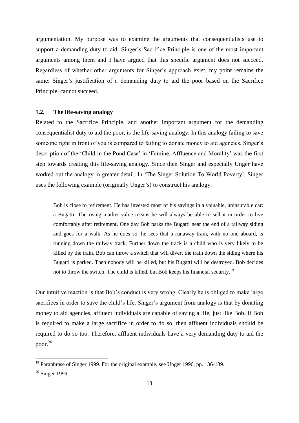argumentation. My purpose was to examine the arguments that consequentialists use to support a demanding duty to aid. Singer's Sacrifice Principle is one of the most important arguments among them and I have argued that this specific argument does not succeed. Regardless of whether other arguments for Singer's approach exist, my point remains the same: Singer's justification of a demanding duty to aid the poor based on the Sacrifice Principle, cannot succeed.

#### **1.2. The life-saving analogy**

Related to the Sacrifice Principle, and another important argument for the demanding consequentialist duty to aid the poor, is the life-saving analogy. In this analogy failing to save someone right in front of you is compared to failing to donate money to aid agencies. Singer's description of the 'Child in the Pond Case' in 'Famine, Affluence and Morality' was the first step towards creating this life-saving analogy. Since then Singer and especially Unger have worked out the analogy in greater detail. In 'The Singer Solution To World Poverty', Singer uses the following example (originally Unger's) to construct his analogy:

Bob is close to retirement. He has invested most of his savings in a valuable, uninsurable car: a Bugatti. The rising market value means he will always be able to sell it in order to live comfortably after retirement. One day Bob parks the Bugatti near the end of a railway siding and goes for a walk. As he does so, he sees that a runaway train, with no one aboard, is running down the railway track. Further down the track is a child who is very likely to be killed by the train. Bob can throw a switch that will divert the train down the siding where his Bugatti is parked. Then nobody will be killed, but his Bugatti will be destroyed. Bob decides not to throw the switch. The child is killed, but Bob keeps his financial security.<sup>19</sup>

Our intuitive reaction is that Bob's conduct is very wrong. Clearly he is obliged to make large sacrifices in order to save the child's life. Singer's argument from analogy is that by donating money to aid agencies, affluent individuals are capable of saving a life, just like Bob. If Bob is required to make a large sacrifice in order to do so, then affluent individuals should be required to do so too. Therefore, affluent individuals have a very demanding duty to aid the poor.<sup>20</sup>

<sup>&</sup>lt;sup>19</sup> Paraphrase of Singer 1999. For the original example, see Unger 1996, pp. 136-139.

 $20$  Singer 1999.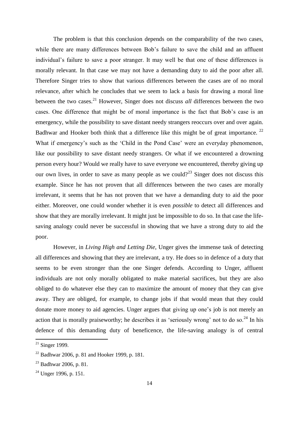The problem is that this conclusion depends on the comparability of the two cases, while there are many differences between Bob's failure to save the child and an affluent individual's failure to save a poor stranger. It may well be that one of these differences is morally relevant. In that case we may not have a demanding duty to aid the poor after all. Therefore Singer tries to show that various differences between the cases are of no moral relevance, after which he concludes that we seem to lack a basis for drawing a moral line between the two cases.<sup>21</sup> However, Singer does not discuss *all* differences between the two cases. One difference that might be of moral importance is the fact that Bob's case is an emergency, while the possibility to save distant needy strangers reoccurs over and over again. Badhwar and Hooker both think that a difference like this might be of great importance.<sup>22</sup> What if emergency's such as the 'Child in the Pond Case' were an everyday phenomenon, like our possibility to save distant needy strangers. Or what if we encountered a drowning person every hour? Would we really have to save everyone we encountered, thereby giving up our own lives, in order to save as many people as we could?<sup>23</sup> Singer does not discuss this example. Since he has not proven that all differences between the two cases are morally irrelevant, it seems that he has not proven that we have a demanding duty to aid the poor either. Moreover, one could wonder whether it is even *possible* to detect all differences and show that they are morally irrelevant. It might just be impossible to do so. In that case the lifesaving analogy could never be successful in showing that we have a strong duty to aid the poor.

However, in *Living High and Letting Die*, Unger gives the immense task of detecting all differences and showing that they are irrelevant, a try. He does so in defence of a duty that seems to be even stronger than the one Singer defends. According to Unger, affluent individuals are not only morally obligated to make material sacrifices, but they are also obliged to do whatever else they can to maximize the amount of money that they can give away. They are obliged, for example, to change jobs if that would mean that they could donate more money to aid agencies. Unger argues that giving up one's job is not merely an action that is morally praiseworthy; he describes it as 'seriously wrong' not to do so.<sup>24</sup> In his defence of this demanding duty of beneficence, the life-saving analogy is of central

 $21$  Singer 1999.

 $22$  Badhwar 2006, p. 81 and Hooker 1999, p. 181.

 $^{23}$  Badhwar 2006, p. 81.

 $24$  Unger 1996, p. 151.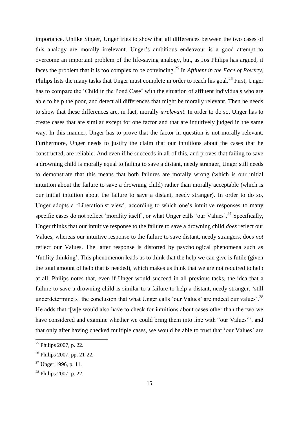importance. Unlike Singer, Unger tries to show that all differences between the two cases of this analogy are morally irrelevant. Unger's ambitious endeavour is a good attempt to overcome an important problem of the life-saving analogy, but, as Jos Philips has argued, it faces the problem that it is too complex to be convincing.<sup>25</sup> In *Affluent in the Face of Poverty*, Philips lists the many tasks that Unger must complete in order to reach his goal.<sup>26</sup> First, Unger has to compare the 'Child in the Pond Case' with the situation of affluent individuals who are able to help the poor, and detect all differences that might be morally relevant. Then he needs to show that these differences are, in fact, morally *irrelevant*. In order to do so, Unger has to create cases that are similar except for one factor and that are intuitively judged in the same way. In this manner, Unger has to prove that the factor in question is not morally relevant. Furthermore, Unger needs to justify the claim that our intuitions about the cases that he constructed, are reliable. And even if he succeeds in all of this, and proves that failing to save a drowning child is morally equal to failing to save a distant, needy stranger, Unger still needs to demonstrate that this means that both failures are morally wrong (which is our initial intuition about the failure to save a drowning child) rather than morally acceptable (which is our initial intuition about the failure to save a distant, needy stranger). In order to do so, Unger adopts a 'Liberationist view', according to which one's intuitive responses to many specific cases do not reflect 'morality itself', or what Unger calls 'our Values'.<sup>27</sup> Specifically, Unger thinks that our intuitive response to the failure to save a drowning child *does* reflect our Values, whereas our intuitive response to the failure to save distant, needy strangers, does *not* reflect our Values. The latter response is distorted by psychological phenomena such as 'futility thinking'. This phenomenon leads us to think that the help we can give is futile (given the total amount of help that is needed), which makes us think that we are not required to help at all. Philips notes that, even if Unger would succeed in all previous tasks, the idea that a failure to save a drowning child is similar to a failure to help a distant, needy stranger, 'still underdetermine[s] the conclusion that what Unger calls 'our Values' are indeed our values'.<sup>28</sup> He adds that '[w]e would also have to check for intuitions about cases other than the two we have considered and examine whether we could bring them into line with "our Values"', and that only after having checked multiple cases, we would be able to trust that 'our Values' are

 $25$  Philips 2007, p. 22.

<sup>26</sup> Philips 2007, pp. 21-22.

 $27$  Unger 1996, p. 11.

<sup>28</sup> Philips 2007, p. 22.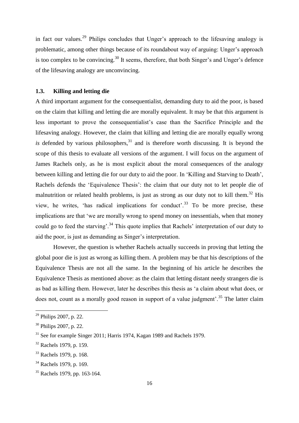in fact our values.<sup>29</sup> Philips concludes that Unger's approach to the lifesaving analogy is problematic, among other things because of its roundabout way of arguing: Unger's approach is too complex to be convincing.<sup>30</sup> It seems, therefore, that both Singer's and Unger's defence of the lifesaving analogy are unconvincing.

#### **1.3. Killing and letting die**

A third important argument for the consequentialist, demanding duty to aid the poor, is based on the claim that killing and letting die are morally equivalent. It may be that this argument is less important to prove the consequentialist's case than the Sacrifice Principle and the lifesaving analogy. However, the claim that killing and letting die are morally equally wrong *is* defended by various philosophers,  $31$  and is therefore worth discussing. It is beyond the scope of this thesis to evaluate all versions of the argument. I will focus on the argument of James Rachels only, as he is most explicit about the moral consequences of the analogy between killing and letting die for our duty to aid the poor. In 'Killing and Starving to Death', Rachels defends the 'Equivalence Thesis': the claim that our duty not to let people die of malnutrition or related health problems, is just as strong as our duty not to kill them.<sup>32</sup> His view, he writes, 'has radical implications for conduct'.<sup>33</sup> To be more precise, these implications are that 'we are morally wrong to spend money on inessentials, when that money could go to feed the starving'.<sup>34</sup> This quote implies that Rachels' interpretation of our duty to aid the poor, is just as demanding as Singer's interpretation.

However, the question is whether Rachels actually succeeds in proving that letting the global poor die is just as wrong as killing them. A problem may be that his descriptions of the Equivalence Thesis are not all the same. In the beginning of his article he describes the Equivalence Thesis as mentioned above: as the claim that letting distant needy strangers die is as bad as killing them. However, later he describes this thesis as 'a claim about what does, or does not, count as a morally good reason in support of a value judgment'.<sup>35</sup> The latter claim

 $\overline{a}$ 

 $29$  Philips 2007, p. 22.

<sup>30</sup> Philips 2007, p. 22.

<sup>&</sup>lt;sup>31</sup> See for example Singer 2011; Harris 1974, Kagan 1989 and Rachels 1979.

<sup>32</sup> Rachels 1979, p. 159.

<sup>33</sup> Rachels 1979, p. 168.

<sup>&</sup>lt;sup>34</sup> Rachels 1979, p. 169.

<sup>35</sup> Rachels 1979, pp. 163-164.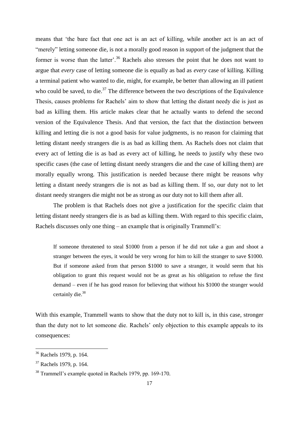means that 'the bare fact that one act is an act of killing, while another act is an act of "merely" letting someone die, is not a morally good reason in support of the judgment that the former is worse than the latter'.<sup>36</sup> Rachels also stresses the point that he does not want to argue that *every* case of letting someone die is equally as bad as *every* case of killing. Killing a terminal patient who wanted to die, might, for example, be better than allowing an ill patient who could be saved, to die.<sup>37</sup> The difference between the two descriptions of the Equivalence Thesis, causes problems for Rachels' aim to show that letting the distant needy die is just as bad as killing them. His article makes clear that he actually wants to defend the second version of the Equivalence Thesis. And that version, the fact that the distinction between killing and letting die is not a good basis for value judgments, is no reason for claiming that letting distant needy strangers die is as bad as killing them. As Rachels does not claim that every act of letting die is as bad as every act of killing, he needs to justify why these two specific cases (the case of letting distant needy strangers die and the case of killing them) are morally equally wrong. This justification is needed because there might be reasons why letting a distant needy strangers die is not as bad as killing them. If so, our duty not to let distant needy strangers die might not be as strong as our duty not to kill them after all.

The problem is that Rachels does not give a justification for the specific claim that letting distant needy strangers die is as bad as killing them. With regard to this specific claim, Rachels discusses only one thing – an example that is originally Trammell's:

If someone threatened to steal \$1000 from a person if he did not take a gun and shoot a stranger between the eyes, it would be very wrong for him to kill the stranger to save \$1000. But if someone asked from that person \$1000 to save a stranger, it would seem that his obligation to grant this request would not be as great as his obligation to refuse the first demand – even if he has good reason for believing that without his \$1000 the stranger would certainly die.<sup>38</sup>

With this example, Trammell wants to show that the duty not to kill is, in this case, stronger than the duty not to let someone die. Rachels' only objection to this example appeals to its consequences:

<sup>&</sup>lt;sup>36</sup> Rachels 1979, p. 164.

<sup>37</sup> Rachels 1979, p. 164.

<sup>38</sup> Trammell's example quoted in Rachels 1979, pp. 169-170.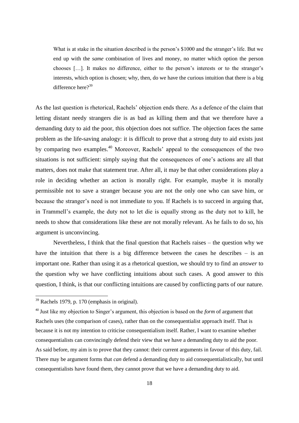What is at stake in the situation described is the person's \$1000 and the stranger's life. But we end up with the *same* combination of lives and money, no matter which option the person chooses […]. It makes no difference, either to the person's interests or to the stranger's interests, which option is chosen; why, then, do we have the curious intuition that there is a big difference here?<sup>39</sup>

As the last question is rhetorical, Rachels' objection ends there. As a defence of the claim that letting distant needy strangers die is as bad as killing them and that we therefore have a demanding duty to aid the poor, this objection does not suffice. The objection faces the same problem as the life-saving analogy: it is difficult to prove that a strong duty to aid exists just by comparing two examples.<sup>40</sup> Moreover, Rachels' appeal to the consequences of the two situations is not sufficient: simply saying that the consequences of one's actions are all that matters, does not make that statement true. After all, it may be that other considerations play a role in deciding whether an action is morally right. For example, maybe it is morally permissible not to save a stranger because you are not the only one who can save him, or because the stranger's need is not immediate to you. If Rachels is to succeed in arguing that, in Trammell's example, the duty not to let die is equally strong as the duty not to kill, he needs to show that considerations like these are not morally relevant. As he fails to do so, his argument is unconvincing.

Nevertheless, I think that the final question that Rachels raises – the question why we have the intuition that there is a big difference between the cases he describes – is an important one. Rather than using it as a rhetorical question, we should try to find an *answer* to the question why we have conflicting intuitions about such cases. A good answer to this question, I think, is that our conflicting intuitions are caused by conflicting parts of our nature.

<sup>&</sup>lt;sup>39</sup> Rachels 1979, p. 170 (emphasis in original).

<sup>40</sup> Just like my objection to Singer's argument, this objection is based on the *form* of argument that Rachels uses (the comparison of cases), rather than on the consequentialist approach itself. That is because it is not my intention to criticise consequentialism itself. Rather, I want to examine whether consequentialists can convincingly defend their view that we have a demanding duty to aid the poor. As said before, my aim is to prove that they cannot: their current arguments in favour of this duty, fail. There may be argument forms that *can* defend a demanding duty to aid consequentialistically, but until consequentialists have found them, they cannot prove that we have a demanding duty to aid.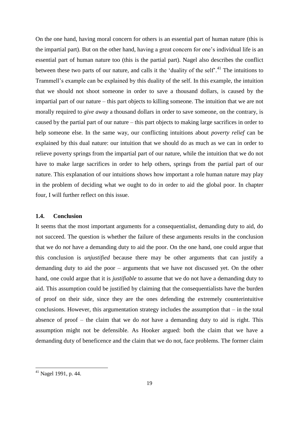On the one hand, having moral concern for others is an essential part of human nature (this is the impartial part). But on the other hand, having a great concern for one's individual life is an essential part of human nature too (this is the partial part). Nagel also describes the conflict between these two parts of our nature, and calls it the 'duality of the self'.<sup>41</sup> The intuitions to Trammell's example can be explained by this duality of the self. In this example, the intuition that we should not shoot someone in order to save a thousand dollars, is caused by the impartial part of our nature – this part objects to killing someone. The intuition that we are not morally required to *give away* a thousand dollars in order to save someone, on the contrary, is caused by the partial part of our nature – this part objects to making large sacrifices in order to help someone else. In the same way, our conflicting intuitions about *poverty relief* can be explained by this dual nature: our intuition that we should do as much as we can in order to relieve poverty springs from the impartial part of our nature, while the intuition that we do not have to make large sacrifices in order to help others, springs from the partial part of our nature. This explanation of our intuitions shows how important a role human nature may play in the problem of deciding what we ought to do in order to aid the global poor. In chapter four, I will further reflect on this issue.

#### **1.4. Conclusion**

It seems that the most important arguments for a consequentialist, demanding duty to aid, do not succeed. The question is whether the failure of these arguments results in the conclusion that we do *not* have a demanding duty to aid the poor. On the one hand, one could argue that this conclusion is *unjustified* because there may be other arguments that can justify a demanding duty to aid the poor – arguments that we have not discussed yet. On the other hand, one could argue that it is *justifiable* to assume that we do not have a demanding duty to aid. This assumption could be justified by claiming that the consequentialists have the burden of proof on their side, since they are the ones defending the extremely counterintuitive conclusions. However, this argumentation strategy includes the assumption that  $-$  in the total absence of proof – the claim that we do *not* have a demanding duty to aid is right. This assumption might not be defensible. As Hooker argued: both the claim that we have a demanding duty of beneficence and the claim that we do not, face problems. The former claim

<sup>&</sup>lt;sup>41</sup> Nagel 1991, p. 44.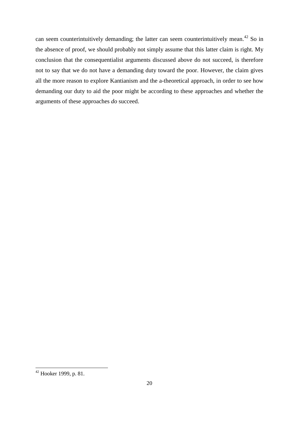can seem counterintuitively demanding; the latter can seem counterintuitively mean.<sup>42</sup> So in the absence of proof, we should probably not simply assume that this latter claim is right. My conclusion that the consequentialist arguments discussed above do not succeed, is therefore not to say that we do not have a demanding duty toward the poor. However, the claim gives all the more reason to explore Kantianism and the a-theoretical approach, in order to see how demanding our duty to aid the poor might be according to these approaches and whether the arguments of these approaches *do* succeed.

<sup>&</sup>lt;sup>42</sup> Hooker 1999, p. 81.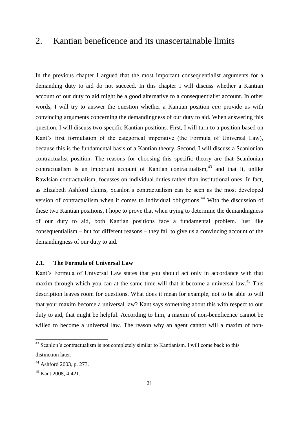## 2. Kantian beneficence and its unascertainable limits

In the previous chapter I argued that the most important consequentialist arguments for a demanding duty to aid do not succeed. In this chapter I will discuss whether a Kantian account of our duty to aid might be a good alternative to a consequentialist account. In other words, I will try to answer the question whether a Kantian position *can* provide us with convincing arguments concerning the demandingness of our duty to aid. When answering this question, I will discuss two specific Kantian positions. First, I will turn to a position based on Kant's first formulation of the categorical imperative (the Formula of Universal Law), because this is the fundamental basis of a Kantian theory. Second, I will discuss a Scanlonian contractualist position. The reasons for choosing this specific theory are that Scanlonian contractualism is an important account of Kantian contractualism. $43$  and that it, unlike Rawlsian contractualism, focusses on individual duties rather than institutional ones. In fact, as Elizabeth Ashford claims, Scanlon's contractualism can be seen as the most developed version of contractualism when it comes to individual obligations.<sup>44</sup> With the discussion of these two Kantian positions, I hope to prove that when trying to determine the demandingness of our duty to aid, both Kantian positions face a fundamental problem. Just like consequentialism – but for different reasons – they fail to give us a convincing account of the demandingness of our duty to aid.

#### **2.1. The Formula of Universal Law**

Kant's Formula of Universal Law states that you should act only in accordance with that maxim through which you can at the same time will that it become a universal law.<sup>45</sup> This description leaves room for questions. What does it mean for example, not to be able to will that your maxim become a universal law? Kant says something about this with respect to our duty to aid, that might be helpful. According to him, a maxim of non-beneficence cannot be willed to become a universal law. The reason why an agent cannot will a maxim of non-

 $43$  Scanlon's contractualism is not completely similar to Kantianism. I will come back to this distinction later.

<sup>44</sup> Ashford 2003, p. 273.

<sup>45</sup> Kant 2008, 4:421.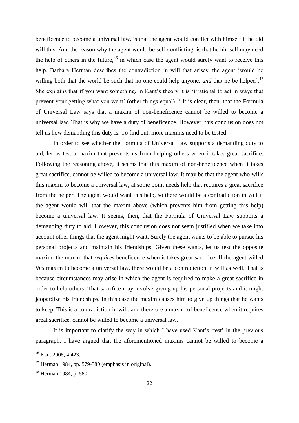beneficence to become a universal law, is that the agent would conflict with himself if he did will this. And the reason why the agent would be self-conflicting, is that he himself may need the help of others in the future,  $46$  in which case the agent would surely want to receive this help. Barbara Herman describes the contradiction in will that arises: the agent 'would be willing both that the world be such that no one could help anyone, *and* that he be helped<sup>'.47</sup> She explains that if you want something, in Kant's theory it is 'irrational to act in ways that prevent your getting what you want' (other things equal).<sup>48</sup> It is clear, then, that the Formula of Universal Law says that a maxim of non-beneficence cannot be willed to become a universal law. That is why we have a duty of beneficence. However, this conclusion does not tell us how demanding this duty is. To find out, more maxims need to be tested.

In order to see whether the Formula of Universal Law supports a demanding duty to aid, let us test a maxim that prevents us from helping others when it takes great sacrifice. Following the reasoning above, it seems that this maxim of non-beneficence when it takes great sacrifice, cannot be willed to become a universal law. It may be that the agent who wills this maxim to become a universal law, at some point needs help that requires a great sacrifice from the helper. The agent would want this help, so there would be a contradiction in will if the agent would will that the maxim above (which prevents him from getting this help) become a universal law. It seems, then, that the Formula of Universal Law supports a demanding duty to aid. However, this conclusion does not seem justified when we take into account other things that the agent might want. Surely the agent wants to be able to pursue his personal projects and maintain his friendships. Given these wants, let us test the opposite maxim: the maxim that *requires* beneficence when it takes great sacrifice. If the agent willed *this* maxim to become a universal law, there would be a contradiction in will as well. That is because circumstances may arise in which the agent is required to make a great sacrifice in order to help others. That sacrifice may involve giving up his personal projects and it might jeopardize his friendships. In this case the maxim causes him to give up things that he wants to keep. This is a contradiction in will, and therefore a maxim of beneficence when it requires great sacrifice, cannot be willed to become a universal law.

It is important to clarify the way in which I have used Kant's 'test' in the previous paragraph. I have argued that the aforementioned maxims cannot be willed to become a

<sup>46</sup> Kant 2008, 4:423.

 $47$  Herman 1984, pp. 579-580 (emphasis in original).

<sup>48</sup> Herman 1984, p. 580.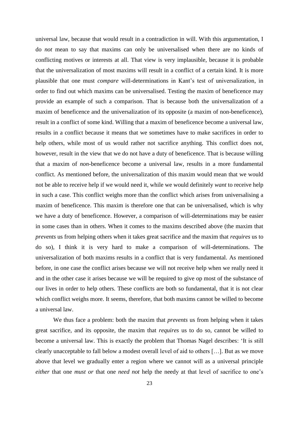universal law, because that would result in a contradiction in will. With this argumentation, I do *not* mean to say that maxims can only be universalised when there are no kinds of conflicting motives or interests at all. That view is very implausible, because it is probable that the universalization of most maxims will result in a conflict of a certain kind. It is more plausible that one must *compare* will-determinations in Kant's test of universalization, in order to find out which maxims can be universalised. Testing the maxim of beneficence may provide an example of such a comparison. That is because both the universalization of a maxim of beneficence and the universalization of its opposite (a maxim of non-beneficence), result in a conflict of some kind. Willing that a maxim of beneficence become a universal law, results in a conflict because it means that we sometimes have to make sacrifices in order to help others, while most of us would rather not sacrifice anything. This conflict does not, however, result in the view that we do not have a duty of beneficence. That is because willing that a maxim of *non*-beneficence become a universal law, results in a more fundamental conflict. As mentioned before, the universalization of this maxim would mean that we would not be able to receive help if we would need it, while we would definitely *want* to receive help in such a case. This conflict weighs more than the conflict which arises from universalising a maxim of beneficence. This maxim is therefore one that can be universalised, which is why we have a duty of beneficence. However, a comparison of will-determinations may be easier in some cases than in others. When it comes to the maxims described above (the maxim that *prevents* us from helping others when it takes great sacrifice and the maxim that *requires* us to do so), I think it is very hard to make a comparison of will-determinations. The universalization of both maxims results in a conflict that is very fundamental. As mentioned before, in one case the conflict arises because we will not receive help when we really need it and in the other case it arises because we will be required to give op most of the substance of our lives in order to help others. These conflicts are both so fundamental, that it is not clear which conflict weighs more. It seems, therefore, that both maxims cannot be willed to become a universal law.

We thus face a problem: both the maxim that *prevents* us from helping when it takes great sacrifice, and its opposite, the maxim that *requires* us to do so, cannot be willed to become a universal law. This is exactly the problem that Thomas Nagel describes: 'It is still clearly unacceptable to fall below a modest overall level of aid to others […]. But as we move above that level we gradually enter a region where we cannot will as a universal principle *either* that one *must or* that one *need not* help the needy at that level of sacrifice to one's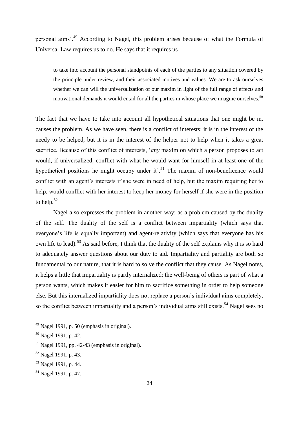personal aims'.<sup>49</sup> According to Nagel, this problem arises because of what the Formula of Universal Law requires us to do. He says that it requires us

to take into account the personal standpoints of each of the parties to any situation covered by the principle under review, and their associated motives and values. We are to ask ourselves whether we can will the universalization of our maxim in light of the full range of effects and motivational demands it would entail for all the parties in whose place we imagine ourselves.<sup>50</sup>

The fact that we have to take into account all hypothetical situations that one might be in, causes the problem. As we have seen, there is a conflict of interests: it is in the interest of the needy to be helped, but it is in the interest of the helper not to help when it takes a great sacrifice. Because of this conflict of interests, '*any* maxim on which a person proposes to act would, if universalized, conflict with what he would want for himself in at least one of the hypothetical positions he might occupy under it'.<sup>51</sup> The maxim of non-beneficence would conflict with an agent's interests if she were in need of help, but the maxim requiring her to help, would conflict with her interest to keep her money for herself if she were in the position to help. $52$ 

Nagel also expresses the problem in another way: as a problem caused by the duality of the self. The duality of the self is a conflict between impartiality (which says that everyone's life is equally important) and agent-relativity (which says that everyone has his own life to lead).<sup>53</sup> As said before, I think that the duality of the self explains why it is so hard to adequately answer questions about our duty to aid. Impartiality and partiality are both so fundamental to our nature, that it is hard to solve the conflict that they cause. As Nagel notes, it helps a little that impartiality is partly internalized: the well-being of others is part of what a person wants, which makes it easier for him to sacrifice something in order to help someone else. But this internalized impartiality does not replace a person's individual aims completely, so the conflict between impartiality and a person's individual aims still exists.<sup>54</sup> Nagel sees no

<sup>&</sup>lt;sup>49</sup> Nagel 1991, p. 50 (emphasis in original).

<sup>50</sup> Nagel 1991, p. 42.

 $<sup>51</sup>$  Nagel 1991, pp. 42-43 (emphasis in original).</sup>

<sup>52</sup> Nagel 1991, p. 43.

<sup>53</sup> Nagel 1991, p. 44.

<sup>54</sup> Nagel 1991, p. 47.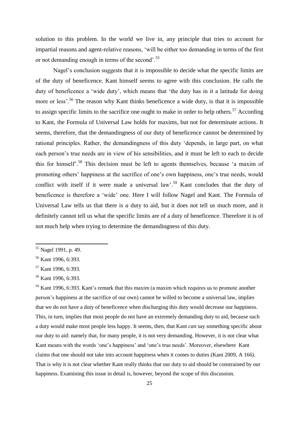solution to this problem. In the world we live in, any principle that tries to account for impartial reasons and agent-relative reasons, 'will be either too demanding in terms of the first or not demanding enough in terms of the second'.<sup>55</sup>

Nagel's conclusion suggests that it is impossible to decide what the specific limits are of the duty of beneficence. Kant himself seems to agree with this conclusion. He calls the duty of beneficence a 'wide duty', which means that 'the duty has in it a latitude for doing more or less'.<sup>56</sup> The reason why Kant thinks beneficence a wide duty, is that it is impossible to assign specific limits to the sacrifice one ought to make in order to help others.<sup>57</sup> According to Kant, the Formula of Universal Law holds for maxims, but not for determinate actions. It seems, therefore, that the demandingness of our duty of beneficence cannot be determined by rational principles. Rather, the demandingness of this duty 'depends, in large part, on what each person's true needs are in view of his sensibilities, and it must be left to each to decide this for himself'. <sup>58</sup> This decision must be left to agents themselves, because 'a maxim of promoting others' happiness at the sacrifice of one's own happiness, one's true needs, would conflict with itself if it were made a universal law'.<sup>59</sup> Kant concludes that the duty of beneficence is therefore a 'wide' one. Here I will follow Nagel and Kant. The Formula of Universal Law tells us that there is *a* duty to aid, but it does not tell us much more, and it definitely cannot tell us what the specific limits are of a duty of beneficence. Therefore it is of not much help when trying to determine the demandingness of this duty.

**.** 

 $59$  Kant 1996, 6:393. Kant's remark that this maxim (a maxim which requires us to promote another person's happiness at the sacrifice of our own) cannot be willed to become a universal law, implies that we do not have a duty of beneficence when discharging this duty would decrease our happiness. This, in turn, implies that most people do not have an extremely demanding duty to aid, because such a duty would make most people less happy. It seems, then, that Kant *can* say something specific about our duty to aid: namely that, for many people, it is not very demanding. However, it is not clear what Kant means with the words 'one's happiness' and 'one's true needs'. Moreover, elsewhere Kant claims that one should not take into account happiness when it comes to duties (Kant 2009, A 166). That is why it is not clear whether Kant really thinks that our duty to aid should be constrained by our happiness. Examining this issue in detail is, however, beyond the scope of this discussion.

<sup>&</sup>lt;sup>55</sup> Nagel 1991, p. 49.

<sup>56</sup> Kant 1996, 6:393.

<sup>&</sup>lt;sup>57</sup> Kant 1996, 6:393.

<sup>58</sup> Kant 1996, 6:393.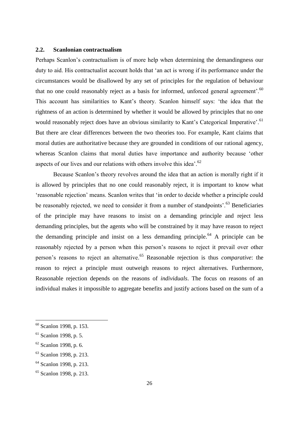#### **2.2. Scanlonian contractualism**

Perhaps Scanlon's contractualism is of more help when determining the demandingness our duty to aid. His contractualist account holds that 'an act is wrong if its performance under the circumstances would be disallowed by any set of principles for the regulation of behaviour that no one could reasonably reject as a basis for informed, unforced general agreement'.<sup>60</sup> This account has similarities to Kant's theory. Scanlon himself says: 'the idea that the rightness of an action is determined by whether it would be allowed by principles that no one would reasonably reject does have an obvious similarity to Kant's Categorical Imperative'.<sup>61</sup> But there are clear differences between the two theories too. For example, Kant claims that moral duties are authoritative because they are grounded in conditions of our rational agency, whereas Scanlon claims that moral duties have importance and authority because 'other aspects of our lives and our relations with others involve this idea'.<sup>62</sup>

Because Scanlon's theory revolves around the idea that an action is morally right if it is allowed by principles that no one could reasonably reject, it is important to know what 'reasonable rejection' means. Scanlon writes that 'in order to decide whether a principle could be reasonably rejected, we need to consider it from a number of standpoints'.<sup>63</sup> Beneficiaries of the principle may have reasons to insist on a demanding principle and reject less demanding principles, but the agents who will be constrained by it may have reason to reject the demanding principle and insist on a less demanding principle.<sup>64</sup> A principle can be reasonably rejected by a person when this person's reasons to reject it prevail over other person's reasons to reject an alternative.<sup>65</sup> Reasonable rejection is thus *comparative*: the reason to reject a principle must outweigh reasons to reject alternatives. Furthermore, Reasonable rejection depends on the reasons of *individuals*. The focus on reasons of an individual makes it impossible to aggregate benefits and justify actions based on the sum of a

<sup>60</sup> Scanlon 1998, p. 153.

 $61$  Scanlon 1998, p. 5.

 $62$  Scanlon 1998, p. 6.

<sup>63</sup> Scanlon 1998, p. 213.

<sup>64</sup> Scanlon 1998, p. 213.

<sup>65</sup> Scanlon 1998, p. 213.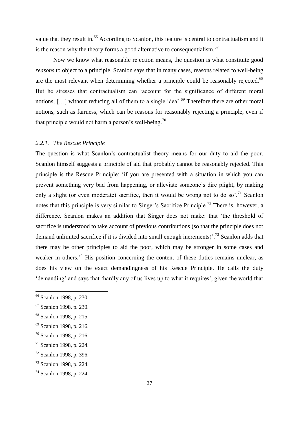value that they result in.<sup>66</sup> According to Scanlon, this feature is central to contractualism and it is the reason why the theory forms a good alternative to consequentialism.<sup>67</sup>

Now we know what reasonable rejection means, the question is what constitute good *reasons* to object to a principle. Scanlon says that in many cases, reasons related to well-being are the most relevant when determining whether a principle could be reasonably rejected.<sup>68</sup> But he stresses that contractualism can 'account for the significance of different moral notions,  $[\dots]$  without reducing all of them to a single idea'.<sup>69</sup> Therefore there are other moral notions, such as fairness, which can be reasons for reasonably rejecting a principle, even if that principle would not harm a person's well-being.<sup>70</sup>

#### *2.2.1. The Rescue Principle*

The question is what Scanlon's contractualist theory means for our duty to aid the poor. Scanlon himself suggests a principle of aid that probably cannot be reasonably rejected. This principle is the Rescue Principle: 'if you are presented with a situation in which you can prevent something very bad from happening, or alleviate someone's dire plight, by making only a slight (or even moderate) sacrifice, then it would be wrong not to do so.<sup>71</sup> Scanlon notes that this principle is very similar to Singer's Sacrifice Principle.<sup>72</sup> There is, however, a difference. Scanlon makes an addition that Singer does not make: that 'the threshold of sacrifice is understood to take account of previous contributions (so that the principle does not demand unlimited sacrifice if it is divided into small enough increments)<sup>73</sup> Scanlon adds that there may be other principles to aid the poor, which may be stronger in some cases and weaker in others.<sup>74</sup> His position concerning the content of these duties remains unclear, as does his view on the exact demandingness of his Rescue Principle. He calls the duty 'demanding' and says that 'hardly any of us lives up to what it requires', given the world that

<sup>66</sup> Scanlon 1998, p. 230.

<sup>67</sup> Scanlon 1998, p. 230.

<sup>68</sup> Scanlon 1998, p. 215.

<sup>69</sup> Scanlon 1998, p. 216.

<sup>70</sup> Scanlon 1998, p. 216.

 $71$  Scanlon 1998, p. 224.

<sup>72</sup> Scanlon 1998, p. 396.

<sup>73</sup> Scanlon 1998, p. 224.

<sup>74</sup> Scanlon 1998, p. 224.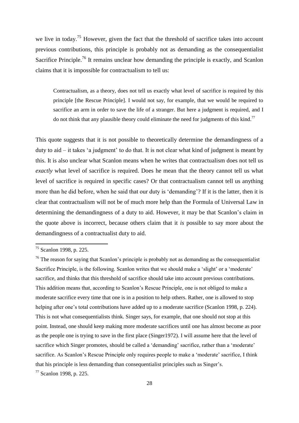we live in today.<sup>75</sup> However, given the fact that the threshold of sacrifice takes into account previous contributions, this principle is probably not as demanding as the consequentialist Sacrifice Principle.<sup>76</sup> It remains unclear how demanding the principle is exactly, and Scanlon claims that it is impossible for contractualism to tell us:

Contractualism, as a theory, does not tell us exactly what level of sacrifice is required by this principle [the Rescue Principle]. I would not say, for example, that we would be required to sacrifice an arm in order to save the life of a stranger. But here a judgment is required, and I do not think that any plausible theory could eliminate the need for judgments of this kind.<sup>77</sup>

This quote suggests that it is not possible to theoretically determine the demandingness of a duty to aid – it takes 'a judgment' to do that. It is not clear what kind of judgment is meant by this. It is also unclear what Scanlon means when he writes that contractualism does not tell us *exactly* what level of sacrifice is required. Does he mean that the theory cannot tell us what level of sacrifice is required in specific cases? Or that contractualism cannot tell us anything more than he did before, when he said that our duty is 'demanding'? If it is the latter, then it is clear that contractualism will not be of much more help than the Formula of Universal Law in determining the demandingness of a duty to aid. However, it may be that Scanlon's claim in the quote above is incorrect, because others claim that it *is* possible to say more about the demandingness of a contractualist duty to aid.

**.** 

<sup>77</sup> Scanlon 1998, p. 225.

<sup>75</sup> Scanlon 1998, p. 225.

 $76$  The reason for saying that Scanlon's principle is probably not as demanding as the consequentialist Sacrifice Principle, is the following. Scanlon writes that we should make a 'slight' or a 'moderate' sacrifice, and thinks that this threshold of sacrifice should take into account previous contributions. This addition means that, according to Scanlon's Rescue Principle, one is not obliged to make a moderate sacrifice every time that one is in a position to help others. Rather, one is allowed to stop helping after one's total contributions have added up to a moderate sacrifice (Scanlon 1998, p. 224). This is not what consequentialists think. Singer says, for example, that one should not stop at this point. Instead, one should keep making more moderate sacrifices until one has almost become as poor as the people one is trying to save in the first place (Singer1972). I will assume here that the level of sacrifice which Singer promotes, should be called a 'demanding' sacrifice, rather than a 'moderate' sacrifice. As Scanlon's Rescue Principle only requires people to make a 'moderate' sacrifice, I think that his principle is less demanding than consequentialist principles such as Singer's.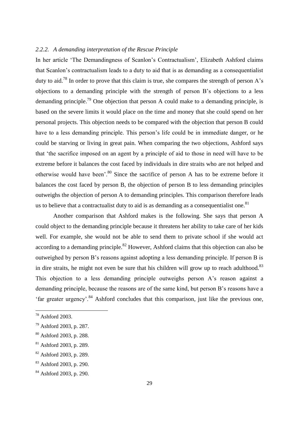#### *2.2.2. A demanding interpretation of the Rescue Principle*

In her article 'The Demandingness of Scanlon's Contractualism', Elizabeth Ashford claims that Scanlon's contractualism leads to a duty to aid that is as demanding as a consequentialist duty to aid.<sup>78</sup> In order to prove that this claim is true, she compares the strength of person A's objections to a demanding principle with the strength of person B's objections to a less demanding principle.<sup>79</sup> One objection that person A could make to a demanding principle, is based on the severe limits it would place on the time and money that she could spend on her personal projects. This objection needs to be compared with the objection that person B could have to a less demanding principle. This person's life could be in immediate danger, or he could be starving or living in great pain. When comparing the two objections, Ashford says that 'the sacrifice imposed on an agent by a principle of aid to those in need will have to be extreme before it balances the cost faced by individuals in dire straits who are not helped and otherwise would have been'.<sup>80</sup> Since the sacrifice of person A has to be extreme before it balances the cost faced by person B, the objection of person B to less demanding principles outweighs the objection of person A to demanding principles. This comparison therefore leads us to believe that a contractualist duty to aid is as demanding as a consequentialist one.<sup>81</sup>

Another comparison that Ashford makes is the following. She says that person A could object to the demanding principle because it threatens her ability to take care of her kids well. For example, she would not be able to send them to private school if she would act according to a demanding principle.<sup>82</sup> However, Ashford claims that this objection can also be outweighed by person B's reasons against adopting a less demanding principle. If person B is in dire straits, he might not even be sure that his children will grow up to reach adulthood. $83$ This objection to a less demanding principle outweighs person A's reason against a demanding principle, because the reasons are of the same kind, but person B's reasons have a 'far greater urgency'.<sup>84</sup> Ashford concludes that this comparison, just like the previous one,

 $\overline{\phantom{a}}$ 

 $78$  Ashford 2003.

<sup>79</sup> Ashford 2003, p. 287.

<sup>80</sup> Ashford 2003, p. 288.

<sup>81</sup> Ashford 2003, p. 289.

<sup>82</sup> Ashford 2003, p. 289.

<sup>83</sup> Ashford 2003, p. 290.

<sup>84</sup> Ashford 2003, p. 290.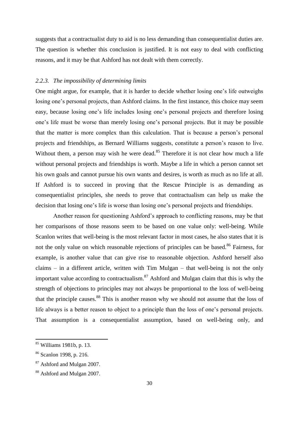suggests that a contractualist duty to aid is no less demanding than consequentialist duties are. The question is whether this conclusion is justified. It is not easy to deal with conflicting reasons, and it may be that Ashford has not dealt with them correctly.

#### *2.2.3. The impossibility of determining limits*

One might argue, for example, that it is harder to decide whether losing one's life outweighs losing one's personal projects, than Ashford claims. In the first instance, this choice may seem easy, because losing one's life includes losing one's personal projects and therefore losing one's life must be worse than merely losing one's personal projects. But it may be possible that the matter is more complex than this calculation. That is because a person's personal projects and friendships, as Bernard Williams suggests, constitute a person's reason to live. Without them, a person may wish he were dead.<sup>85</sup> Therefore it is not clear how much a life without personal projects and friendships is worth. Maybe a life in which a person cannot set his own goals and cannot pursue his own wants and desires, is worth as much as no life at all. If Ashford is to succeed in proving that the Rescue Principle is as demanding as consequentialist principles, she needs to prove that contractualism can help us make the decision that losing one's life is worse than losing one's personal projects and friendships.

Another reason for questioning Ashford's approach to conflicting reasons, may be that her comparisons of those reasons seem to be based on one value only: well-being. While Scanlon writes that well-being is the most relevant factor in most cases, he also states that it is not the only value on which reasonable rejections of principles can be based.<sup>86</sup> Fairness, for example, is another value that can give rise to reasonable objection. Ashford herself also claims – in a different article, written with Tim Mulgan – that well-being is not the only important value according to contractualism. $^{87}$  Ashford and Mulgan claim that this is why the strength of objections to principles may not always be proportional to the loss of well-being that the principle causes.<sup>88</sup> This is another reason why we should not assume that the loss of life always is a better reason to object to a principle than the loss of one's personal projects. That assumption is a consequentialist assumption, based on well-being only, and

<sup>&</sup>lt;sup>85</sup> Williams 1981b, p. 13.

<sup>86</sup> Scanlon 1998, p. 216.

<sup>87</sup> Ashford and Mulgan 2007.

<sup>88</sup> Ashford and Mulgan 2007.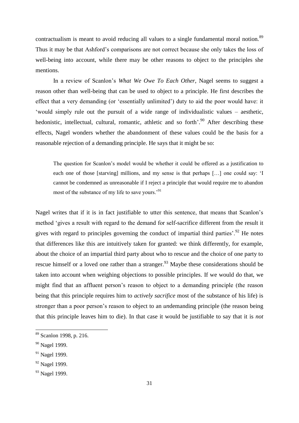contractualism is meant to avoid reducing all values to a single fundamental moral notion.<sup>89</sup> Thus it may be that Ashford's comparisons are not correct because she only takes the loss of well-being into account, while there may be other reasons to object to the principles she mentions.

In a review of Scanlon's *What We Owe To Each Other*, Nagel seems to suggest a reason other than well-being that can be used to object to a principle. He first describes the effect that a very demanding (or 'essentially unlimited') duty to aid the poor would have: it 'would simply rule out the pursuit of a wide range of individualistic values – aesthetic, hedonistic, intellectual, cultural, romantic, athletic and so forth<sup>', 90</sup> After describing these effects, Nagel wonders whether the abandonment of these values could be the basis for a reasonable rejection of a demanding principle. He says that it might be so:

The question for Scanlon's model would be whether it could be offered as a justification to each one of those [starving] millions, and my sense is that perhaps […] one could say: 'I cannot be condemned as unreasonable if I reject a principle that would require me to abandon most of the substance of my life to save yours.'<sup>91</sup>

Nagel writes that if it is in fact justifiable to utter this sentence, that means that Scanlon's method 'gives a result with regard to the demand for self-sacrifice different from the result it gives with regard to principles governing the conduct of impartial third parties'.<sup>92</sup> He notes that differences like this are intuitively taken for granted: we think differently, for example, about the choice of an impartial third party about who to rescue and the choice of one party to rescue himself or a loved one rather than a stranger.<sup>93</sup> Maybe these considerations should be taken into account when weighing objections to possible principles. If we would do that, we might find that an affluent person's reason to object to a demanding principle (the reason being that this principle requires him to *actively sacrifice* most of the substance of his life) is stronger than a poor person's reason to object to an *un*demanding principle (the reason being that this principle leaves him to die). In that case it would be justifiable to say that it is *not*

<sup>89</sup> Scanlon 1998, p. 216.

<sup>&</sup>lt;sup>90</sup> Nagel 1999.

<sup>&</sup>lt;sup>91</sup> Nagel 1999.

<sup>&</sup>lt;sup>92</sup> Nagel 1999.

<sup>&</sup>lt;sup>93</sup> Nagel 1999.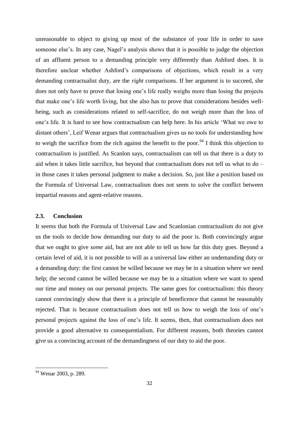unreasonable to object to giving up most of the substance of your life in order to save someone else's. In any case, Nagel's analysis shows that it is possible to judge the objection of an affluent person to a demanding principle very differently than Ashford does. It is therefore unclear whether Ashford's comparisons of objections, which result in a very demanding contractualist duty, are the *right* comparisons. If her argument is to succeed, she does not only have to prove that losing one's life really weighs more than losing the projects that make one's life worth living, but she also has to prove that considerations besides wellbeing, such as considerations related to self-sacrifice, do not weigh more than the loss of one's life. It is hard to see how contractualism can help here. In his article 'What we owe to distant others', Leif Wenar argues that contractualism gives us no tools for understanding how to weigh the sacrifice from the rich against the benefit to the poor.<sup>94</sup> I think this objection to contractualism is justified. As Scanlon says, contractualism can tell us that there is a duty to aid when it takes little sacrifice, but beyond that contractualism does not tell us what to do – in those cases it takes personal judgment to make a decision. So, just like a position based on the Formula of Universal Law, contractualism does not seem to solve the conflict between impartial reasons and agent-relative reasons.

#### **2.3. Conclusion**

It seems that both the Formula of Universal Law and Scanlonian contractualism do not give us the tools to decide how demanding our duty to aid the poor is. Both convincingly argue that we ought to give *some* aid, but are not able to tell us how far this duty goes. Beyond a certain level of aid, it is not possible to will as a universal law either an undemanding duty or a demanding duty: the first cannot be willed because we may be in a situation where we need help; the second cannot be willed because we may be in a situation where we want to spend our time and money on our personal projects. The same goes for contractualism: this theory cannot convincingly show that there is a principle of beneficence that cannot be reasonably rejected. That is because contractualism does not tell us how to weigh the loss of one's personal projects against the loss of one's life. It seems, then, that contractualism does not provide a good alternative to consequentialism. For different reasons, both theories cannot give us a convincing account of the demandingness of our duty to aid the poor.

<sup>&</sup>lt;sup>94</sup> Wenar 2003, p. 289.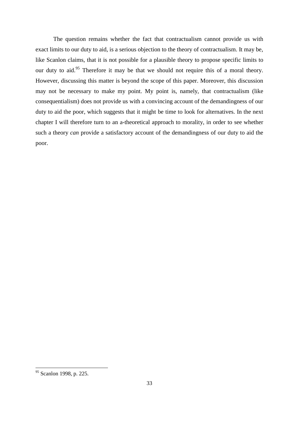The question remains whether the fact that contractualism cannot provide us with exact limits to our duty to aid, is a serious objection to the theory of contractualism. It may be, like Scanlon claims, that it is not possible for a plausible theory to propose specific limits to our duty to aid.<sup>95</sup> Therefore it may be that we should not require this of a moral theory. However, discussing this matter is beyond the scope of this paper. Moreover, this discussion may not be necessary to make my point. My point is, namely, that contractualism (like consequentialism) does not provide us with a convincing account of the demandingness of our duty to aid the poor, which suggests that it might be time to look for alternatives. In the next chapter I will therefore turn to an a-theoretical approach to morality, in order to see whether such a theory *can* provide a satisfactory account of the demandingness of our duty to aid the poor.

<sup>&</sup>lt;sup>95</sup> Scanlon 1998, p. 225.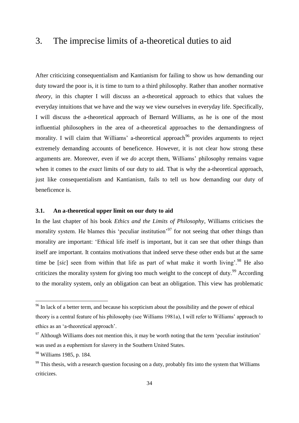## 3. The imprecise limits of a-theoretical duties to aid

After criticizing consequentialism and Kantianism for failing to show us how demanding our duty toward the poor is, it is time to turn to a third philosophy. Rather than another normative *theory*, in this chapter I will discuss an a-theoretical approach to ethics that values the everyday intuitions that we have and the way we view ourselves in everyday life. Specifically, I will discuss the a-theoretical approach of Bernard Williams, as he is one of the most influential philosophers in the area of a-theoretical approaches to the demandingness of morality. I will claim that Williams' a-theoretical approach<sup>96</sup> provides arguments to reject extremely demanding accounts of beneficence. However, it is not clear how strong these arguments are. Moreover, even if we *do* accept them, Williams' philosophy remains vague when it comes to the *exact* limits of our duty to aid. That is why the a-theoretical approach, just like consequentialism and Kantianism, fails to tell us how demanding our duty of beneficence is.

#### **3.1. An a-theoretical upper limit on our duty to aid**

In the last chapter of his book *Ethics and the Limits of Philosophy*, Williams criticises the morality system. He blames this 'peculiar institution'<sup>97</sup> for not seeing that other things than morality are important: 'Ethical life itself is important, but it can see that other things than itself are important. It contains motivations that indeed serve these other ends but at the same time be [*sic*] seen from within that life as part of what make it worth living'.<sup>98</sup> He also criticizes the morality system for giving too much weight to the concept of duty.<sup>99</sup> According to the morality system, only an obligation can beat an obligation. This view has problematic

 $\overline{\phantom{a}}$ 

<sup>&</sup>lt;sup>96</sup> In lack of a better term, and because his scepticism about the possibility and the power of ethical theory is a central feature of his philosophy (see Williams 1981a), I will refer to Williams' approach to ethics as an 'a-theoretical approach'.

 $97$  Although Williams does not mention this, it may be worth noting that the term 'peculiar institution' was used as a euphemism for slavery in the Southern United States.

<sup>98</sup> Williams 1985, p. 184.

 $99$  This thesis, with a research question focusing on a duty, probably fits into the system that Williams criticizes.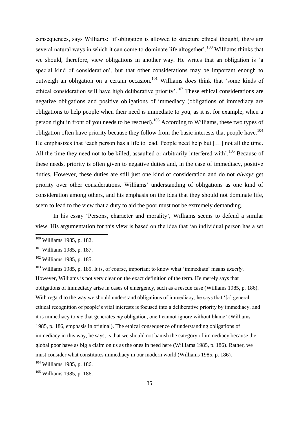consequences, says Williams: 'if obligation is allowed to structure ethical thought, there are several natural ways in which it can come to dominate life altogether'.<sup>100</sup> Williams thinks that we should, therefore, view obligations in another way. He writes that an obligation is 'a special kind of consideration', but that other considerations may be important enough to outweigh an obligation on a certain occasion.<sup>101</sup> Williams *does* think that 'some kinds of ethical consideration will have high deliberative priority'.<sup>102</sup> These ethical considerations are negative obligations and positive obligations of immediacy (obligations of immediacy are obligations to help people when their need is immediate to you, as it is, for example, when a person right in front of you needs to be rescued).<sup>103</sup> According to Williams, these two types of obligation often have priority because they follow from the basic interests that people have.<sup>104</sup> He emphasizes that 'each person has a life to lead. People need help but […] not all the time. All the time they need not to be killed, assaulted or arbitrarily interfered with'.<sup>105</sup> Because of these needs, priority is often given to negative duties and, in the case of immediacy, positive duties. However, these duties are still just one kind of consideration and do not *always* get priority over other considerations. Williams' understanding of obligations as one kind of consideration among others, and his emphasis on the idea that they should not dominate life, seem to lead to the view that a duty to aid the poor must not be extremely demanding.

In his essay 'Persons, character and morality', Williams seems to defend a similar view. His argumentation for this view is based on the idea that 'an individual person has a set

 $\overline{\phantom{a}}$ 

<sup>103</sup> Williams 1985, p. 185. It is, of course, important to know what 'immediate' means *exactly*. However, Williams is not very clear on the exact definition of the term. He merely says that obligations of immediacy arise in cases of emergency, such as a rescue case (Williams 1985, p. 186). With regard to the way we should understand obligations of immediacy, he says that '[a] general ethical recognition of people's vital interests is focused into a deliberative priority by immediacy, and it is immediacy to *me* that generates *my* obligation, one I cannot ignore without blame' (Williams 1985, p. 186, emphasis in original). The ethical consequence of understanding obligations of immediacy in this way, he says, is that we should not banish the category of immediacy because the global poor have as big a claim on us as the ones in need here (Williams 1985, p. 186). Rather, we must consider what constitutes immediacy in our modern world (Williams 1985, p. 186). <sup>104</sup> Williams 1985, p. 186.

<sup>105</sup> Williams 1985, p. 186.

<sup>&</sup>lt;sup>100</sup> Williams 1985, p. 182.

<sup>&</sup>lt;sup>101</sup> Williams 1985, p. 187.

<sup>102</sup> Williams 1985, p. 185.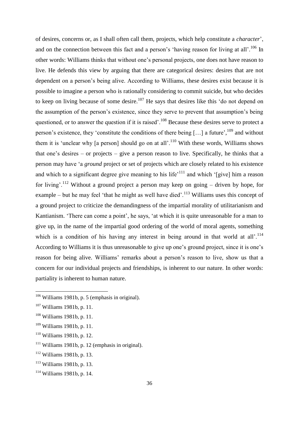of desires, concerns or, as I shall often call them, projects, which help constitute a *character*', and on the connection between this fact and a person's 'having reason for living at all'.<sup>106</sup> In other words: Williams thinks that without one's personal projects, one does not have reason to live. He defends this view by arguing that there are categorical desires: desires that are not dependent on a person's being alive. According to Williams, these desires exist because it is possible to imagine a person who is rationally considering to commit suicide, but who decides to keep on living because of some desire.<sup>107</sup> He says that desires like this 'do not depend on the assumption of the person's existence, since they serve to prevent that assumption's being questioned, or to answer the question if it is raised'.<sup>108</sup> Because these desires serve to protect a person's existence, they 'constitute the conditions of there being [...] a future', <sup>109</sup> and without them it is 'unclear why [a person] should go on at all'.<sup>110</sup> With these words, Williams shows that one's desires – or projects – give a person reason to live. Specifically, he thinks that a person may have 'a *ground* project or set of projects which are closely related to his existence and which to a significant degree give meaning to his life<sup> $111$ </sup> and which '[give] him a reason for living'.<sup>112</sup> Without a ground project a person may keep on going – driven by hope, for example – but he may feel 'that he might as well have died'.<sup>113</sup> Williams uses this concept of a ground project to criticize the demandingness of the impartial morality of utilitarianism and Kantianism. 'There can come a point', he says, 'at which it is quite unreasonable for a man to give up, in the name of the impartial good ordering of the world of moral agents, something which is a condition of his having any interest in being around in that world at all'.<sup>114</sup> According to Williams it is thus unreasonable to give up one's ground project, since it is one's reason for being alive. Williams' remarks about a person's reason to live, show us that a concern for our individual projects and friendships, is inherent to our nature. In other words: partiality is inherent to human nature.

**.** 

<sup>110</sup> Williams 1981b, p. 12.

<sup>112</sup> Williams 1981b, p. 13.

<sup>&</sup>lt;sup>106</sup> Williams 1981b, p. 5 (emphasis in original).

<sup>107</sup> Williams 1981b, p. 11.

<sup>108</sup> Williams 1981b, p. 11.

<sup>109</sup> Williams 1981b, p. 11.

 $111$  Williams 1981b, p. 12 (emphasis in original).

<sup>113</sup> Williams 1981b, p. 13.

<sup>114</sup> Williams 1981b, p. 14.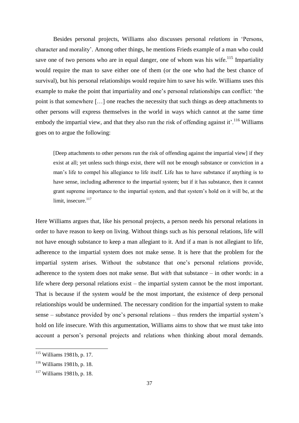Besides personal projects, Williams also discusses personal *relations* in 'Persons, character and morality'. Among other things, he mentions Frieds example of a man who could save one of two persons who are in equal danger, one of whom was his wife.<sup>115</sup> Impartiality would require the man to save either one of them (or the one who had the best chance of survival), but his personal relationships would require him to save his wife. Williams uses this example to make the point that impartiality and one's personal relationships can conflict: 'the point is that somewhere […] one reaches the necessity that such things as deep attachments to other persons will express themselves in the world in ways which cannot at the same time embody the impartial view, and that they also run the risk of offending against it'.<sup>116</sup> Williams goes on to argue the following:

[Deep attachments to other persons run the risk of offending against the impartial view] if they exist at all; yet unless such things exist, there will not be enough substance or conviction in a man's life to compel his allegiance to life itself. Life has to have substance if anything is to have sense, including adherence to the impartial system; but if it has substance, then it cannot grant supreme importance to the impartial system, and that system's hold on it will be, at the limit, insecure. $117$ 

Here Williams argues that, like his personal projects, a person needs his personal relations in order to have reason to keep on living. Without things such as his personal relations, life will not have enough substance to keep a man allegiant to it. And if a man is not allegiant to life, adherence to the impartial system does not make sense. It is here that the problem for the impartial system arises. Without the substance that one's personal relations provide, adherence to the system does not make sense. But *with* that substance – in other words: in a life where deep personal relations exist – the impartial system cannot be the most important. That is because if the system *would* be the most important, the existence of deep personal relationships would be undermined. The necessary condition for the impartial system to make sense – substance provided by one's personal relations – thus renders the impartial system's hold on life insecure. With this argumentation, Williams aims to show that we must take into account a person's personal projects and relations when thinking about moral demands.

<sup>115</sup> Williams 1981b, p. 17.

<sup>116</sup> Williams 1981b, p. 18.

<sup>117</sup> Williams 1981b, p. 18.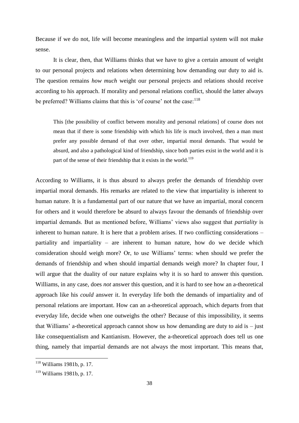Because if we do not, life will become meaningless and the impartial system will not make sense.

It is clear, then, that Williams thinks that we have to give a certain amount of weight to our personal projects and relations when determining how demanding our duty to aid is. The question remains *how much* weight our personal projects and relations should receive according to his approach. If morality and personal relations conflict, should the latter always be preferred? Williams claims that this is 'of course' not the case:<sup>118</sup>

This [the possibility of conflict between morality and personal relations] of course does not mean that if there is some friendship with which his life is much involved, then a man must prefer any possible demand of that over other, impartial moral demands. That would be absurd, and also a pathological kind of friendship, since both parties exist in the world and it is part of the sense of their friendship that it exists in the world.<sup>119</sup>

According to Williams, it is thus absurd to always prefer the demands of friendship over impartial moral demands. His remarks are related to the view that impartiality is inherent to human nature. It is a fundamental part of our nature that we have an impartial, moral concern for others and it would therefore be absurd to always favour the demands of friendship over impartial demands. But as mentioned before, Williams' views also suggest that *partiality* is inherent to human nature. It is here that a problem arises. If two conflicting considerations – partiality and impartiality – are inherent to human nature, how do we decide which consideration should weigh more? Or, to use Williams' terms: when should we prefer the demands of friendship and when should impartial demands weigh more? In chapter four, I will argue that the duality of our nature explains why it is so hard to answer this question. Williams, in any case, does *not* answer this question, and it is hard to see how an a-theoretical approach like his *could* answer it. In everyday life both the demands of impartiality and of personal relations are important. How can an a-theoretical approach, which departs from that everyday life, decide when one outweighs the other? Because of this impossibility, it seems that Williams' a-theoretical approach cannot show us how demanding are duty to aid is – just like consequentialism and Kantianism. However, the a-theoretical approach does tell us one thing, namely that impartial demands are not always the most important. This means that,

<sup>&</sup>lt;sup>118</sup> Williams 1981b, p. 17.

<sup>119</sup> Williams 1981b, p. 17.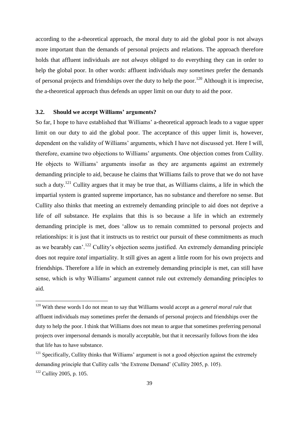according to the a-theoretical approach, the moral duty to aid the global poor is not always more important than the demands of personal projects and relations. The approach therefore holds that affluent individuals are not *always* obliged to do everything they can in order to help the global poor. In other words: affluent individuals *may sometimes* prefer the demands of personal projects and friendships over the duty to help the poor.<sup>120</sup> Although it is imprecise, the a-theoretical approach thus defends an upper limit on our duty to aid the poor.

#### **3.2. Should we accept Williams' arguments?**

 $\overline{\phantom{a}}$ 

So far, I hope to have established that Williams' a-theoretical approach leads to a vague upper limit on our duty to aid the global poor. The acceptance of this upper limit is, however, dependent on the validity of Williams' arguments, which I have not discussed yet. Here I will, therefore, examine two objections to Williams' arguments. One objection comes from Cullity. He objects to Williams' arguments insofar as they are arguments against an extremely demanding principle to aid, because he claims that Williams fails to prove that we do not have such a duty.<sup>121</sup> Cullity argues that it may be true that, as Williams claims, a life in which the impartial system is granted supreme importance, has no substance and therefore no sense. But Cullity also thinks that meeting an extremely demanding principle to aid does not deprive a life of *all* substance. He explains that this is so because a life in which an extremely demanding principle is met, does 'allow us to remain committed to personal projects and relationships: it is just that it instructs us to restrict our pursuit of these commitments as much as we bearably can'.<sup>122</sup> Cullity's objection seems justified. An extremely demanding principle does not require *total* impartiality. It still gives an agent a little room for his own projects and friendships. Therefore a life in which an extremely demanding principle is met, can still have sense, which is why Williams' argument cannot rule out extremely demanding principles to aid.

<sup>&</sup>lt;sup>120</sup> With these words I do not mean to say that Williams would accept as a *general moral rule* that affluent individuals may sometimes prefer the demands of personal projects and friendships over the duty to help the poor. I think that Williams does not mean to argue that sometimes preferring personal projects over impersonal demands is morally acceptable, but that it necessarily follows from the idea that life has to have substance.

 $121$  Specifically, Cullity thinks that Williams' argument is not a good objection against the extremely demanding principle that Cullity calls 'the Extreme Demand' (Cullity 2005, p. 105).  $122$  Cullity 2005, p. 105.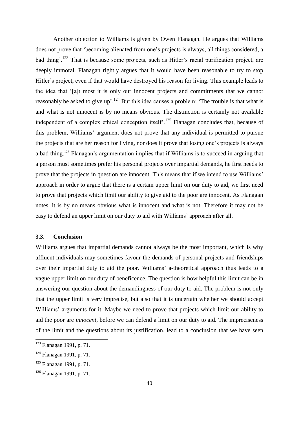Another objection to Williams is given by Owen Flanagan. He argues that Williams does not prove that 'becoming alienated from one's projects is always, all things considered, a bad thing'.<sup>123</sup> That is because some projects, such as Hitler's racial purification project, are deeply immoral. Flanagan rightly argues that it would have been reasonable to try to stop Hitler's project, even if that would have destroyed his reason for living. This example leads to the idea that '[a]t most it is only our innocent projects and commitments that we cannot reasonably be asked to give up'.<sup>124</sup> But this idea causes a problem: 'The trouble is that what is and what is not innocent is by no means obvious. The distinction is certainly not available independent of a complex ethical conception itself<sup>'.125</sup> Flanagan concludes that, because of this problem, Williams' argument does not prove that any individual is permitted to pursue the projects that are her reason for living, nor does it prove that losing one's projects is always a bad thing.<sup>126</sup> Flanagan's argumentation implies that if Williams is to succeed in arguing that a person must sometimes prefer his personal projects over impartial demands, he first needs to prove that the projects in question are innocent. This means that if we intend to use Williams' approach in order to argue that there is a certain upper limit on our duty to aid, we first need to prove that projects which limit our ability to give aid to the poor are innocent. As Flanagan notes, it is by no means obvious what is innocent and what is not. Therefore it may not be easy to defend an upper limit on our duty to aid with Williams' approach after all.

#### **3.3. Conclusion**

Williams argues that impartial demands cannot always be the most important, which is why affluent individuals may sometimes favour the demands of personal projects and friendships over their impartial duty to aid the poor. Williams' a-theoretical approach thus leads to a vague upper limit on our duty of beneficence. The question is how helpful this limit can be in answering our question about the demandingness of our duty to aid. The problem is not only that the upper limit is very imprecise, but also that it is uncertain whether we should accept Williams' arguments for it. Maybe we need to prove that projects which limit our ability to aid the poor are *innocent*, before we can defend a limit on our duty to aid. The impreciseness of the limit and the questions about its justification, lead to a conclusion that we have seen

<sup>&</sup>lt;sup>123</sup> Flanagan 1991, p. 71.

<sup>124</sup> Flanagan 1991, p. 71.

<sup>&</sup>lt;sup>125</sup> Flanagan 1991, p. 71.

<sup>126</sup> Flanagan 1991, p. 71.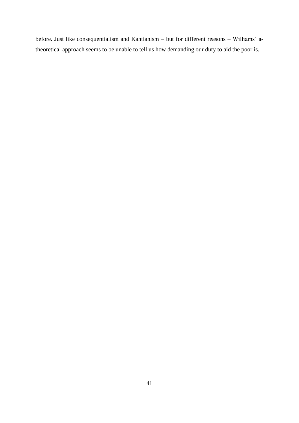before. Just like consequentialism and Kantianism – but for different reasons – Williams' atheoretical approach seems to be unable to tell us how demanding our duty to aid the poor is.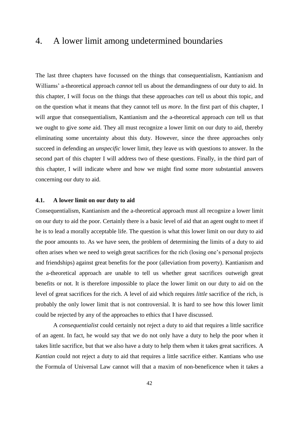## 4. A lower limit among undetermined boundaries

The last three chapters have focussed on the things that consequentialism, Kantianism and Williams' a-theoretical approach *cannot* tell us about the demandingness of our duty to aid. In this chapter, I will focus on the things that these approaches *can* tell us about this topic, and on the question what it means that they cannot tell us *more*. In the first part of this chapter, I will argue that consequentialism, Kantianism and the a-theoretical approach *can* tell us that we ought to give *some* aid. They all must recognize a lower limit on our duty to aid, thereby eliminating some uncertainty about this duty. However, since the three approaches only succeed in defending an *unspecific* lower limit, they leave us with questions to answer. In the second part of this chapter I will address two of these questions. Finally, in the third part of this chapter, I will indicate where and how we might find some more substantial answers concerning our duty to aid.

#### **4.1. A lower limit on our duty to aid**

Consequentialism, Kantianism and the a-theoretical approach must all recognize a lower limit on our duty to aid the poor. Certainly there is a basic level of aid that an agent ought to meet if he is to lead a morally acceptable life. The question is what this lower limit on our duty to aid the poor amounts to. As we have seen, the problem of determining the limits of a duty to aid often arises when we need to weigh great sacrifices for the rich (losing one's personal projects and friendships) against great benefits for the poor (alleviation from poverty). Kantianism and the a-theoretical approach are unable to tell us whether great sacrifices outweigh great benefits or not. It is therefore impossible to place the lower limit on our duty to aid on the level of great sacrifices for the rich. A level of aid which requires *little* sacrifice of the rich, is probably the only lower limit that is not controversial. It is hard to see how this lower limit could be rejected by any of the approaches to ethics that I have discussed.

A *consequentialist* could certainly not reject a duty to aid that requires a little sacrifice of an agent. In fact, he would say that we do not only have a duty to help the poor when it takes little sacrifice, but that we also have a duty to help them when it takes great sacrifices. A *Kantian* could not reject a duty to aid that requires a little sacrifice either. Kantians who use the Formula of Universal Law cannot will that a maxim of non-beneficence when it takes a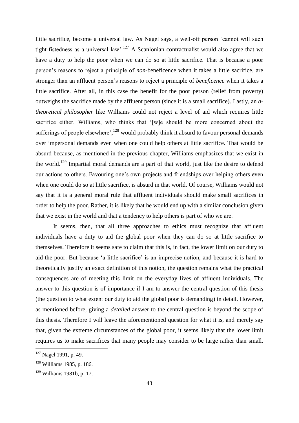little sacrifice, become a universal law. As Nagel says, a well-off person 'cannot will such tight-fistedness as a universal law'.<sup>127</sup> A Scanlonian contractualist would also agree that we have a duty to help the poor when we can do so at little sacrifice. That is because a poor person's reasons to reject a principle of *non*-beneficence when it takes a little sacrifice, are stronger than an affluent person's reasons to reject a principle of *beneficence* when it takes a little sacrifice. After all, in this case the benefit for the poor person (relief from poverty) outweighs the sacrifice made by the affluent person (since it is a small sacrifice). Lastly, an *atheoretical philosopher* like Williams could not reject a level of aid which requires little sacrifice either. Williams, who thinks that '[w]e should be more concerned about the sufferings of people elsewhere',  $^{128}$  would probably think it absurd to favour personal demands over impersonal demands even when one could help others at little sacrifice. That would be absurd because, as mentioned in the previous chapter, Williams emphasizes that we exist in the world.<sup>129</sup> Impartial moral demands are a part of that world, just like the desire to defend our actions to others. Favouring one's own projects and friendships over helping others even when one could do so at little sacrifice, is absurd in that world. Of course, Williams would not say that it is a general moral rule that affluent individuals should make small sacrifices in order to help the poor. Rather, it is likely that he would end up with a similar conclusion given that we exist in the world and that a tendency to help others is part of who we are.

It seems, then, that all three approaches to ethics must recognize that affluent individuals have a duty to aid the global poor when they can do so at little sacrifice to themselves. Therefore it seems safe to claim that this is, in fact, the lower limit on our duty to aid the poor. But because 'a little sacrifice' is an imprecise notion, and because it is hard to theoretically justify an exact definition of this notion, the question remains what the practical consequences are of meeting this limit on the everyday lives of affluent individuals. The answer to this question is of importance if I am to answer the central question of this thesis (the question to what extent our duty to aid the global poor is demanding) in detail. However, as mentioned before, giving a *detailed* answer to the central question is beyond the scope of this thesis. Therefore I will leave the aforementioned question for what it is, and merely say that, given the extreme circumstances of the global poor, it seems likely that the lower limit requires us to make sacrifices that many people may consider to be large rather than small.

<sup>&</sup>lt;sup>127</sup> Nagel 1991, p. 49.

<sup>128</sup> Williams 1985, p. 186.

<sup>129</sup> Williams 1981b, p. 17.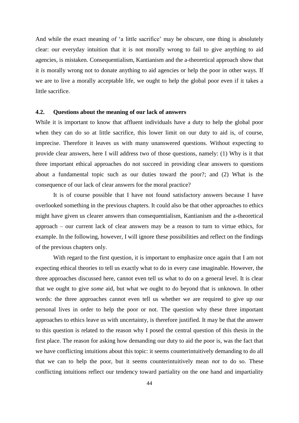And while the exact meaning of 'a little sacrifice' may be obscure, one thing is absolutely clear: our everyday intuition that it is not morally wrong to fail to give anything to aid agencies, is mistaken. Consequentialism, Kantianism and the a-theoretical approach show that it *is* morally wrong not to donate anything to aid agencies or help the poor in other ways. If we are to live a morally acceptable life, we ought to help the global poor even if it takes a little sacrifice.

#### **4.2. Questions about the meaning of our lack of answers**

While it is important to know that affluent individuals have a duty to help the global poor when they can do so at little sacrifice, this lower limit on our duty to aid is, of course, imprecise. Therefore it leaves us with many unanswered questions. Without expecting to provide clear answers, here I will address two of those questions, namely: (1) Why is it that three important ethical approaches do not succeed in providing clear answers to questions about a fundamental topic such as our duties toward the poor?; and (2) What is the consequence of our lack of clear answers for the moral practice?

It is of course possible that I have not found satisfactory answers because I have overlooked something in the previous chapters. It could also be that other approaches to ethics might have given us clearer answers than consequentialism, Kantianism and the a-theoretical approach – our current lack of clear answers may be a reason to turn to virtue ethics, for example. In the following, however, I will ignore these possibilities and reflect on the findings of the previous chapters only.

With regard to the first question, it is important to emphasize once again that I am not expecting ethical theories to tell us exactly what to do in every case imaginable. However, the three approaches discussed here, cannot even tell us what to do on a general level. It is clear that we ought to give *some* aid, but what we ought to do beyond that is unknown. In other words: the three approaches cannot even tell us whether we are required to give up our personal lives in order to help the poor or not. The question why these three important approaches to ethics leave us with uncertainty, is therefore justified. It may be that the answer to this question is related to the reason why I posed the central question of this thesis in the first place. The reason for asking how demanding our duty to aid the poor is, was the fact that we have conflicting intuitions about this topic: it seems counterintuitively demanding to do all that we can to help the poor, but it seems counterintuitively mean *not* to do so. These conflicting intuitions reflect our tendency toward partiality on the one hand and impartiality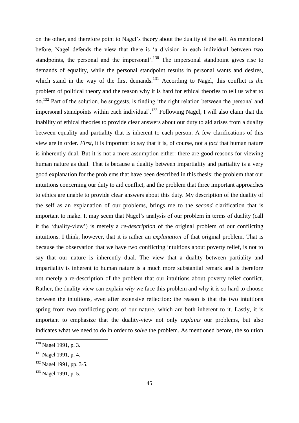on the other, and therefore point to Nagel's theory about the duality of the self. As mentioned before, Nagel defends the view that there is 'a division in each individual between two standpoints, the personal and the impersonal'.<sup>130</sup> The impersonal standpoint gives rise to demands of equality, while the personal standpoint results in personal wants and desires, which stand in the way of the first demands.<sup>131</sup> According to Nagel, this conflict is *the* problem of political theory and the reason why it is hard for ethical theories to tell us what to do.<sup>132</sup> Part of the solution, he suggests, is finding 'the right relation between the personal and impersonal standpoints within each individual'.<sup>133</sup> Following Nagel, I will also claim that the inability of ethical theories to provide clear answers about our duty to aid arises from a duality between equality and partiality that is inherent to each person. A few clarifications of this view are in order. *First*, it is important to say that it is, of course, not a *fact* that human nature is inherently dual. But it is not a mere assumption either: there are good reasons for viewing human nature as dual. That is because a duality between impartiality and partiality is a very good explanation for the problems that have been described in this thesis: the problem that our intuitions concerning our duty to aid conflict, and the problem that three important approaches to ethics are unable to provide clear answers about this duty. My description of the duality of the self as an explanation of our problems, brings me to the *second* clarification that is important to make. It may seem that Nagel's analysis of our problem in terms of duality (call it the 'duality-view') is merely a *re-description* of the original problem of our conflicting intuitions. I think, however, that it is rather an *explanation* of that original problem. That is because the observation that we have two conflicting intuitions about poverty relief, is not to say that our nature is inherently dual. The view that a duality between partiality and impartiality is inherent to human nature is a much more substantial remark and is therefore not merely a re-description of the problem that our intuitions about poverty relief conflict. Rather, the duality-view can explain *why* we face this problem and why it is so hard to choose between the intuitions, even after extensive reflection: the reason is that the two intuitions spring from two conflicting parts of our nature, which are both inherent to it. Lastly, it is important to emphasize that the duality-view not only *explains* our problems, but also indicates what we need to do in order to *solve* the problem. As mentioned before, the solution

<sup>&</sup>lt;sup>130</sup> Nagel 1991, p. 3.

<sup>&</sup>lt;sup>131</sup> Nagel 1991, p. 4.

<sup>&</sup>lt;sup>132</sup> Nagel 1991, pp. 3-5.

<sup>133</sup> Nagel 1991, p. 5.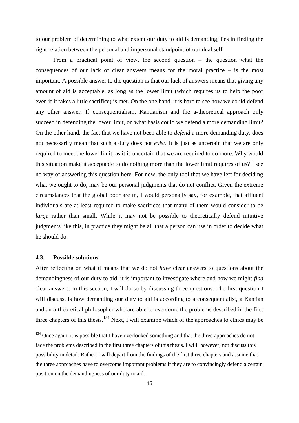to our problem of determining to what extent our duty to aid is demanding, lies in finding the right relation between the personal and impersonal standpoint of our dual self.

From a practical point of view, the second question – the question what the consequences of our lack of clear answers means for the moral practice – is the most important. A possible answer to the question is that our lack of answers means that giving any amount of aid is acceptable, as long as the lower limit (which requires us to help the poor even if it takes a little sacrifice) is met. On the one hand, it is hard to see how we could defend any other answer. If consequentialism, Kantianism and the a-theoretical approach only succeed in defending the lower limit, on what basis could we defend a more demanding limit? On the other hand, the fact that we have not been able to *defend* a more demanding duty, does not necessarily mean that such a duty does not *exist*. It is just as uncertain that we are only required to meet the lower limit, as it is uncertain that we are required to do more. Why would this situation make it acceptable to do nothing more than the lower limit requires of us? I see no way of answering this question here. For now, the only tool that we have left for deciding what we ought to do, may be our personal judgments that do not conflict. Given the extreme circumstances that the global poor are in, I would personally say, for example, that affluent individuals are at least required to make sacrifices that many of them would consider to be *large* rather than small. While it may not be possible to theoretically defend intuitive judgments like this, in practice they might be all that a person can use in order to decide what he should do.

#### **4.3. Possible solutions**

**.** 

After reflecting on what it means that we do not *have* clear answers to questions about the demandingness of our duty to aid, it is important to investigate where and how we might *find* clear answers. In this section, I will do so by discussing three questions. The first question I will discuss, is how demanding our duty to aid is according to a consequentialist, a Kantian and an a-theoretical philosopher who are able to overcome the problems described in the first three chapters of this thesis.<sup>134</sup> Next, I will examine which of the approaches to ethics may be

<sup>&</sup>lt;sup>134</sup> Once again: it is possible that I have overlooked something and that the three approaches do not face the problems described in the first three chapters of this thesis. I will, however, not discuss this possibility in detail. Rather, I will depart from the findings of the first three chapters and assume that the three approaches have to overcome important problems if they are to convincingly defend a certain position on the demandingness of our duty to aid.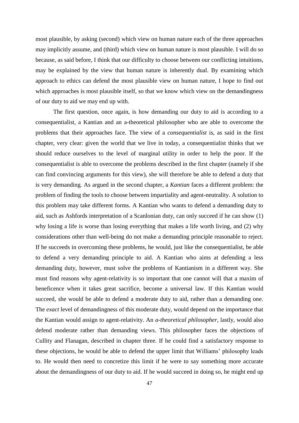most plausible, by asking (second) which view on human nature each of the three approaches may implicitly assume, and (third) which view on human nature is most plausible. I will do so because, as said before, I think that our difficulty to choose between our conflicting intuitions, may be explained by the view that human nature is inherently dual. By examining which approach to ethics can defend the most plausible view on human nature, I hope to find out which approaches is most plausible itself, so that we know which view on the demandingness of our duty to aid we may end up with.

The first question, once again, is how demanding our duty to aid is according to a consequentialist, a Kantian and an a-theoretical philosopher who are able to overcome the problems that their approaches face. The view of a *consequentialist* is, as said in the first chapter, very clear: given the world that we live in today, a consequentialist thinks that we should reduce ourselves to the level of marginal utility in order to help the poor. If the consequentialist is able to overcome the problems described in the first chapter (namely if she can find convincing arguments for this view), she will therefore be able to defend a duty that is very demanding. As argued in the second chapter, a *Kantian* faces a different problem: the problem of finding the tools to choose between impartiality and agent-neutrality. A solution to this problem may take different forms. A Kantian who wants to defend a demanding duty to aid, such as Ashfords interpretation of a Scanlonian duty, can only succeed if he can show (1) why losing a life is worse than losing everything that makes a life worth living, and (2) why considerations other than well-being do not make a demanding principle reasonable to reject. If he succeeds in overcoming these problems, he would, just like the consequentialist, be able to defend a very demanding principle to aid. A Kantian who aims at defending a less demanding duty, however, must solve the problems of Kantianism in a different way. She must find reasons why agent-relativity is so important that one cannot will that a maxim of beneficence when it takes great sacrifice, become a universal law. If this Kantian would succeed, she would be able to defend a moderate duty to aid, rather than a demanding one. The *exact* level of demandingness of this moderate duty, would depend on the importance that the Kantian would assign to agent-relativity. An *a-theoretical philosopher*, lastly, would also defend moderate rather than demanding views. This philosopher faces the objections of Cullity and Flanagan, described in chapter three. If he could find a satisfactory response to these objections, he would be able to defend the upper limit that Williams' philosophy leads to. He would then need to concretize this limit if he were to say something more accurate about the demandingness of our duty to aid. If he would succeed in doing so, he might end up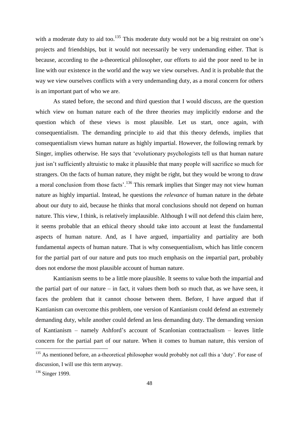with a moderate duty to aid too.<sup>135</sup> This moderate duty would not be a big restraint on one's projects and friendships, but it would not necessarily be very undemanding either. That is because, according to the a-theoretical philosopher, our efforts to aid the poor need to be in line with our existence in the world and the way we view ourselves. And it is probable that the way we view ourselves conflicts with a very undemanding duty, as a moral concern for others is an important part of who we are.

As stated before, the second and third question that I would discuss, are the question which view on human nature each of the three theories may implicitly endorse and the question which of these views is most plausible. Let us start, once again, with consequentialism. The demanding principle to aid that this theory defends, implies that consequentialism views human nature as highly impartial. However, the following remark by Singer, implies otherwise. He says that 'evolutionary psychologists tell us that human nature just isn't sufficiently altruistic to make it plausible that many people will sacrifice so much for strangers. On the facts of human nature, they might be right, but they would be wrong to draw a moral conclusion from those facts', <sup>136</sup> This remark implies that Singer may not view human nature as highly impartial. Instead, he questions the *relevance* of human nature in the debate about our duty to aid, because he thinks that moral conclusions should not depend on human nature. This view, I think, is relatively implausible. Although I will not defend this claim here, it seems probable that an ethical theory should take into account at least the fundamental aspects of human nature. And, as I have argued, impartiality and partiality are both fundamental aspects of human nature. That is why consequentialism, which has little concern for the partial part of our nature and puts too much emphasis on the *im*partial part, probably does not endorse the most plausible account of human nature.

Kantianism seems to be a little more plausible. It seems to value both the impartial and the partial part of our nature – in fact, it values them both so much that, as we have seen, it faces the problem that it cannot choose between them. Before, I have argued that if Kantianism can overcome this problem, one version of Kantianism could defend an extremely demanding duty, while another could defend an less demanding duty. The demanding version of Kantianism – namely Ashford's account of Scanlonian contractualism – leaves little concern for the partial part of our nature. When it comes to human nature, this version of

<sup>&</sup>lt;sup>135</sup> As mentioned before, an a-theoretical philosopher would probably not call this a 'duty'. For ease of discussion, I will use this term anyway.

<sup>&</sup>lt;sup>136</sup> Singer 1999.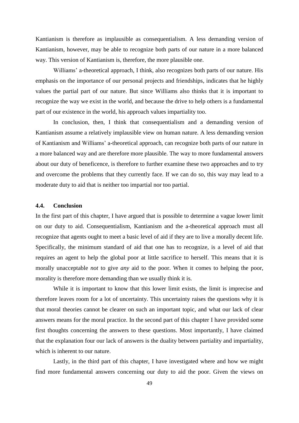Kantianism is therefore as implausible as consequentialism. A less demanding version of Kantianism, however, may be able to recognize both parts of our nature in a more balanced way. This version of Kantianism is, therefore, the more plausible one.

Williams' a-theoretical approach, I think, also recognizes both parts of our nature. His emphasis on the importance of our personal projects and friendships, indicates that he highly values the partial part of our nature. But since Williams also thinks that it is important to recognize the way we exist in the world, and because the drive to help others is a fundamental part of our existence in the world, his approach values impartiality too.

In conclusion, then, I think that consequentialism and a demanding version of Kantianism assume a relatively implausible view on human nature. A less demanding version of Kantianism and Williams' a-theoretical approach, can recognize both parts of our nature in a more balanced way and are therefore more plausible. The way to more fundamental answers about our duty of beneficence, is therefore to further examine these two approaches and to try and overcome the problems that they currently face. If we can do so, this way may lead to a moderate duty to aid that is neither too impartial nor too partial.

#### **4.4. Conclusion**

In the first part of this chapter, I have argued that is possible to determine a vague lower limit on our duty to aid. Consequentialism, Kantianism and the a-theoretical approach must all recognize that agents ought to meet a basic level of aid if they are to live a morally decent life. Specifically, the minimum standard of aid that one has to recognize, is a level of aid that requires an agent to help the global poor at little sacrifice to herself. This means that it is morally unacceptable *not* to give *any* aid to the poor. When it comes to helping the poor, morality is therefore more demanding than we usually think it is.

While it is important to know that this lower limit exists, the limit is imprecise and therefore leaves room for a lot of uncertainty. This uncertainty raises the questions why it is that moral theories cannot be clearer on such an important topic, and what our lack of clear answers means for the moral practice. In the second part of this chapter I have provided some first thoughts concerning the answers to these questions. Most importantly, I have claimed that the explanation four our lack of answers is the duality between partiality and impartiality, which is inherent to our nature.

Lastly, in the third part of this chapter, I have investigated where and how we might find more fundamental answers concerning our duty to aid the poor. Given the views on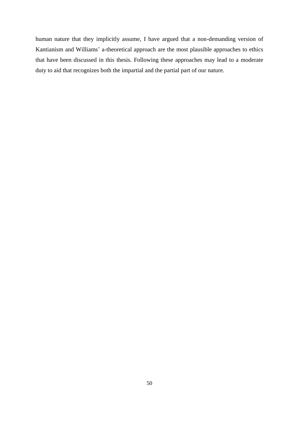human nature that they implicitly assume, I have argued that a non-demanding version of Kantianism and Williams' a-theoretical approach are the most plausible approaches to ethics that have been discussed in this thesis. Following these approaches may lead to a moderate duty to aid that recognizes both the impartial and the partial part of our nature.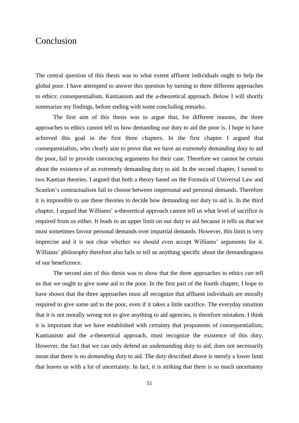### Conclusion

The central question of this thesis was to what extent affluent individuals ought to help the global poor. I have attempted to answer this question by turning to three different approaches to ethics: consequentialism, Kantianism and the a-theoretical approach. Below I will shortly summarize my findings, before ending with some concluding remarks.

The first aim of this thesis was to argue that, for different reasons, the three approaches to ethics cannot tell us how demanding our duty to aid the poor is. I hope to have achieved this goal in the first three chapters. In the first chapter I argued that consequentialists, who clearly aim to prove that we have an extremely demanding duty to aid the poor, fail to provide convincing arguments for their case. Therefore we cannot be certain about the existence of an extremely demanding duty to aid. In the second chapter, I turned to two Kantian theories. I argued that both a theory based on the Formula of Universal Law and Scanlon's contractualism fail to choose between impersonal and personal demands. Therefore it is impossible to use these theories to decide how demanding our duty to aid is. In the third chapter, I argued that Williams' a-theoretical approach cannot tell us what level of sacrifice is required from us either. It leads to an upper limit on our duty to aid because it tells us that we must sometimes favour personal demands over impartial demands. However, this limit is very imprecise and it is not clear whether we should even accept Williams' arguments for it. Williams' philosophy therefore also fails to tell us anything specific about the demandingness of our beneficence.

The second aim of this thesis was to show that the three approaches to ethics *can* tell us that we ought to give *some* aid to the poor. In the first part of the fourth chapter, I hope to have shown that the three approaches must all recognize that affluent individuals are morally required to give some aid to the poor, even if it takes a little sacrifice. The everyday intuition that it is not morally wrong not to give anything to aid agencies, is therefore mistaken. I think it is important that we have established with certainty that proponents of consequentialism, Kantianism and the a-theoretical approach, must recognize the existence of this duty. However, the fact that we can only defend an undemanding duty to aid, does not necessarily mean that there is no *demanding* duty to aid. The duty described above is merely a lower limit that leaves us with a lot of uncertainty. In fact, it is striking that there is so much uncertainty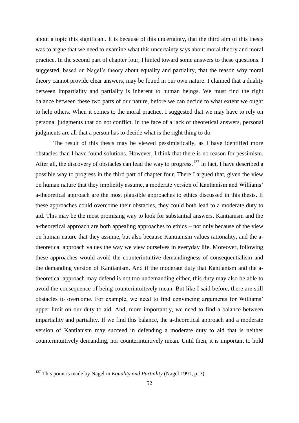about a topic this significant. It is because of this uncertainty, that the third aim of this thesis was to argue that we need to examine what this uncertainty says about moral theory and moral practice. In the second part of chapter four, I hinted toward some answers to these questions. I suggested, based on Nagel's theory about equality and partiality, that the reason why moral theory cannot provide clear answers, may be found in our own nature. I claimed that a duality between impartiality and partiality is inherent to human beings. We must find the right balance between these two parts of our nature, before we can decide to what extent we ought to help others. When it comes to the moral practice, I suggested that we may have to rely on personal judgments that do not conflict. In the face of a lack of theoretical answers, personal judgments are all that a person has to decide what is the right thing to do.

The result of this thesis may be viewed pessimistically, as I have identified more obstacles than I have found solutions. However, I think that there is no reason for pessimism. After all, the discovery of obstacles can lead the way to progress.<sup>137</sup> In fact, I have described a possible way to progress in the third part of chapter four. There I argued that, given the view on human nature that they implicitly assume, a moderate version of Kantianism and Williams' a-theoretical approach are the most plausible approaches to ethics discussed in this thesis. If these approaches could overcome their obstacles, they could both lead to a moderate duty to aid. This may be the most promising way to look for substantial answers. Kantianism and the a-theoretical approach are both appealing approaches to ethics – not only because of the view on human nature that they assume, but also because Kantianism values rationality, and the atheoretical approach values the way we view ourselves in everyday life. Moreover, following these approaches would avoid the counterintuitive demandingness of consequentialism and the demanding version of Kantianism. And if the moderate duty that Kantianism and the atheoretical approach may defend is not too undemanding either, this duty may also be able to avoid the consequence of being counterintuitively mean. But like I said before, there are still obstacles to overcome. For example, we need to find convincing arguments for Williams' upper limit on our duty to aid. And, more importantly, we need to find a balance between impartiality and partiality. If we find this balance, the a-theoretical approach and a moderate version of Kantianism may succeed in defending a moderate duty to aid that is neither counterintuitively demanding, nor counterintuitively mean. Until then, it is important to hold

<sup>137</sup> This point is made by Nagel in *Equality and Partiality* (Nagel 1991, p. 3).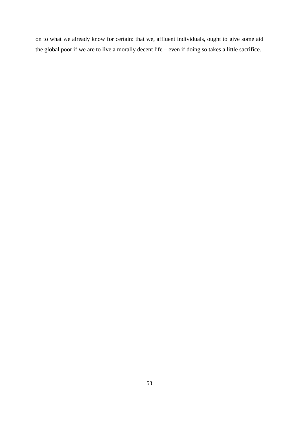on to what we already know for certain: that we, affluent individuals, ought to give some aid the global poor if we are to live a morally decent life – even if doing so takes a little sacrifice.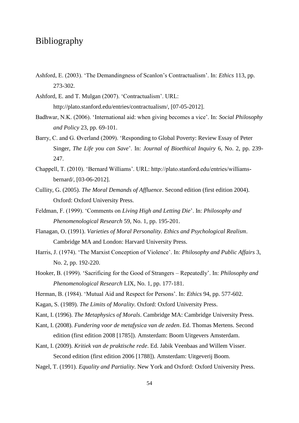## Bibliography

- Ashford, E. (2003). 'The Demandingness of Scanlon's Contractualism'. In: *Ethics* 113, pp. 273-302.
- Ashford, E. and T. Mulgan (2007). 'Contractualism'. URL: http://plato.stanford.edu/entries/contractualism/, [07-05-2012].
- Badhwar, N.K. (2006). 'International aid: when giving becomes a vice'. In: *Social Philosophy and Policy* 23, pp. 69-101.
- Barry, C. and G. Øverland (2009). 'Responding to Global Poverty: Review Essay of Peter Singer, *The Life you can Save*'. In: *Journal of Bioethical Inquiry* 6, No. 2, pp. 239- 247.
- Chappell, T. (2010). 'Bernard Williams'. URL: http://plato.stanford.edu/entries/williamsbernard/, [03-06-2012].
- Cullity, G. (2005). *The Moral Demands of Affluence*. Second edition (first edition 2004). Oxford: Oxford University Press.
- Feldman, F. (1999). 'Comments on *Living High and Letting Die*'. In: *Philosophy and Phenomenological Research* 59, No. 1, pp. 195-201.
- Flanagan, O. (1991). *Varieties of Moral Personality. Ethics and Psychological Realism*. Cambridge MA and London: Harvard University Press.
- Harris, J. (1974). 'The Marxist Conception of Violence'. In: *Philosophy and Public Affairs* 3, No. 2, pp. 192-220.
- Hooker, B. (1999). 'Sacrificing for the Good of Strangers Repeatedly'. In: *Philosophy and Phenomenological Research* LIX, No. 1, pp. 177-181.
- Herman, B. (1984). 'Mutual Aid and Respect for Persons'. In: *Ethics* 94, pp. 577-602.
- Kagan, S. (1989). *The Limits of Morality*. Oxford: Oxford University Press.
- Kant, I. (1996). *The Metaphysics of Morals*. Cambridge MA: Cambridge University Press.
- Kant, I. (2008). *Fundering voor de metafysica van de zeden*. Ed. Thomas Mertens. Second edition (first edition 2008 [1785]). Amsterdam: Boom Uitgevers Amsterdam.
- Kant, I. (2009). *Kritiek van de praktische rede*. Ed. Jabik Veenbaas and Willem Visser. Second edition (first edition 2006 [1788]). Amsterdam: Uitgeverij Boom.
- Nagel, T. (1991). *Equality and Partiality*. New York and Oxford: Oxford University Press.